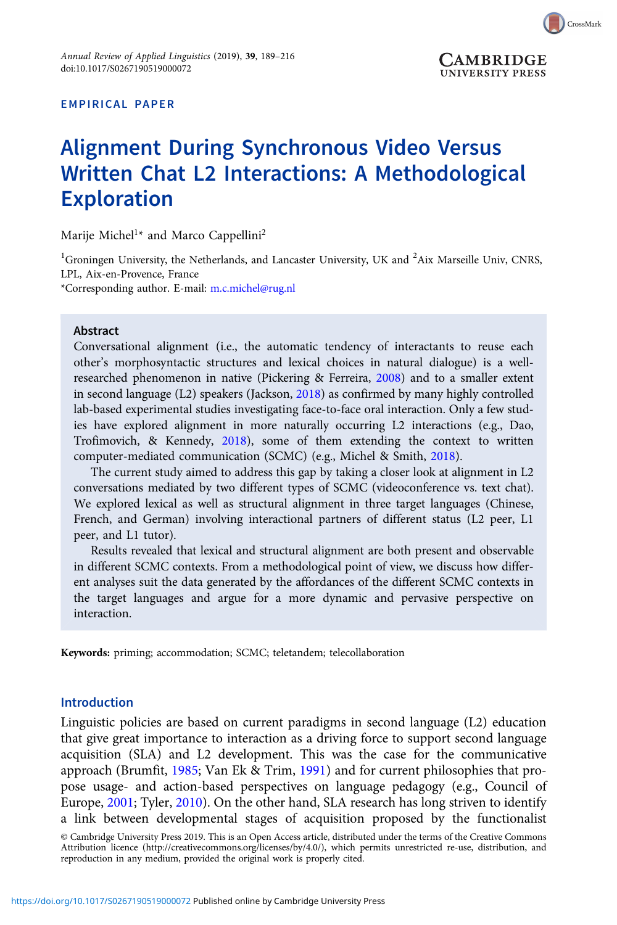

# EMPIRICAL PAPER

# Alignment During Synchronous Video Versus Written Chat L2 Interactions: A Methodological Exploration

Marije Michel<sup>1\*</sup> and Marco Cappellini<sup>2</sup>

 ${}^{1}$ Groningen University, the Netherlands, and Lancaster University, UK and  ${}^{2}$ Aix Marseille Univ, CNRS, LPL, Aix-en-Provence, France \*Corresponding author. E-mail: [m.c.michel@rug.nl](mailto:m.c.michel@rug.nl)

# Abstract

Conversational alignment (i.e., the automatic tendency of interactants to reuse each other's morphosyntactic structures and lexical choices in natural dialogue) is a wellresearched phenomenon in native (Pickering & Ferreira, [2008\)](#page-26-0) and to a smaller extent in second language (L2) speakers (Jackson, [2018\)](#page-24-0) as confirmed by many highly controlled lab-based experimental studies investigating face-to-face oral interaction. Only a few studies have explored alignment in more naturally occurring L2 interactions (e.g., Dao, Trofimovich, & Kennedy, [2018\)](#page-24-0), some of them extending the context to written computer-mediated communication (SCMC) (e.g., Michel & Smith, [2018\)](#page-25-0).

The current study aimed to address this gap by taking a closer look at alignment in L2 conversations mediated by two different types of SCMC (videoconference vs. text chat). We explored lexical as well as structural alignment in three target languages (Chinese, French, and German) involving interactional partners of different status (L2 peer, L1 peer, and L1 tutor).

Results revealed that lexical and structural alignment are both present and observable in different SCMC contexts. From a methodological point of view, we discuss how different analyses suit the data generated by the affordances of the different SCMC contexts in the target languages and argue for a more dynamic and pervasive perspective on interaction.

Keywords: priming; accommodation; SCMC; teletandem; telecollaboration

# Introduction

Linguistic policies are based on current paradigms in second language (L2) education that give great importance to interaction as a driving force to support second language acquisition (SLA) and L2 development. This was the case for the communicative approach (Brumfit, [1985;](#page-24-0) Van Ek & Trim, [1991](#page-26-0)) and for current philosophies that propose usage- and action-based perspectives on language pedagogy (e.g., Council of Europe, [2001;](#page-24-0) Tyler, [2010\)](#page-26-0). On the other hand, SLA research has long striven to identify a link between developmental stages of acquisition proposed by the functionalist

© Cambridge University Press 2019. This is an Open Access article, distributed under the terms of the Creative Commons Attribution licence (http://creativecommons.org/licenses/by/4.0/), which permits unrestricted re-use, distribution, and reproduction in any medium, provided the original work is properly cited.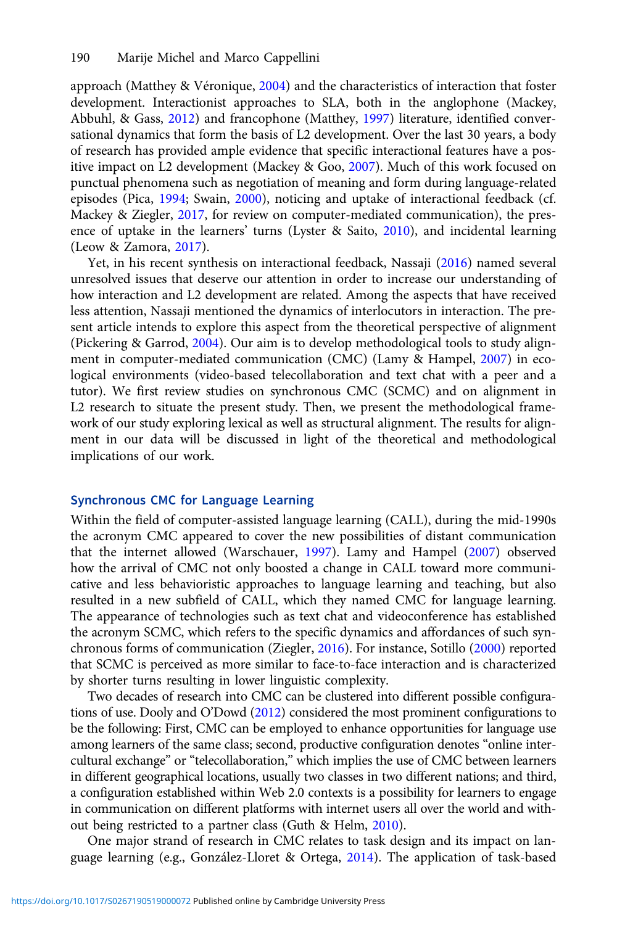approach (Matthey & Véronique, [2004](#page-25-0)) and the characteristics of interaction that foster development. Interactionist approaches to SLA, both in the anglophone (Mackey, Abbuhl, & Gass, [2012](#page-25-0)) and francophone (Matthey, [1997\)](#page-25-0) literature, identified conversational dynamics that form the basis of L2 development. Over the last 30 years, a body of research has provided ample evidence that specific interactional features have a positive impact on L2 development (Mackey & Goo, [2007\)](#page-25-0). Much of this work focused on punctual phenomena such as negotiation of meaning and form during language-related episodes (Pica, [1994;](#page-26-0) Swain, [2000](#page-26-0)), noticing and uptake of interactional feedback (cf. Mackey & Ziegler, [2017](#page-25-0), for review on computer-mediated communication), the presence of uptake in the learners' turns (Lyster & Saito, [2010](#page-25-0)), and incidental learning (Leow & Zamora, [2017](#page-25-0)).

Yet, in his recent synthesis on interactional feedback, Nassaji ([2016](#page-25-0)) named several unresolved issues that deserve our attention in order to increase our understanding of how interaction and L2 development are related. Among the aspects that have received less attention, Nassaji mentioned the dynamics of interlocutors in interaction. The present article intends to explore this aspect from the theoretical perspective of alignment (Pickering & Garrod, [2004](#page-26-0)). Our aim is to develop methodological tools to study alignment in computer-mediated communication (CMC) (Lamy & Hampel, [2007](#page-25-0)) in ecological environments (video-based telecollaboration and text chat with a peer and a tutor). We first review studies on synchronous CMC (SCMC) and on alignment in L2 research to situate the present study. Then, we present the methodological framework of our study exploring lexical as well as structural alignment. The results for alignment in our data will be discussed in light of the theoretical and methodological implications of our work.

# Synchronous CMC for Language Learning

Within the field of computer-assisted language learning (CALL), during the mid-1990s the acronym CMC appeared to cover the new possibilities of distant communication that the internet allowed (Warschauer, [1997](#page-26-0)). Lamy and Hampel [\(2007\)](#page-25-0) observed how the arrival of CMC not only boosted a change in CALL toward more communicative and less behavioristic approaches to language learning and teaching, but also resulted in a new subfield of CALL, which they named CMC for language learning. The appearance of technologies such as text chat and videoconference has established the acronym SCMC, which refers to the specific dynamics and affordances of such synchronous forms of communication (Ziegler, [2016](#page-26-0)). For instance, Sotillo ([2000\)](#page-26-0) reported that SCMC is perceived as more similar to face-to-face interaction and is characterized by shorter turns resulting in lower linguistic complexity.

Two decades of research into CMC can be clustered into different possible configurations of use. Dooly and O'Dowd [\(2012\)](#page-24-0) considered the most prominent configurations to be the following: First, CMC can be employed to enhance opportunities for language use among learners of the same class; second, productive configuration denotes "online intercultural exchange" or "telecollaboration," which implies the use of CMC between learners in different geographical locations, usually two classes in two different nations; and third, a configuration established within Web 2.0 contexts is a possibility for learners to engage in communication on different platforms with internet users all over the world and without being restricted to a partner class (Guth & Helm, [2010\)](#page-24-0).

One major strand of research in CMC relates to task design and its impact on language learning (e.g., González-Lloret & Ortega, [2014\)](#page-24-0). The application of task-based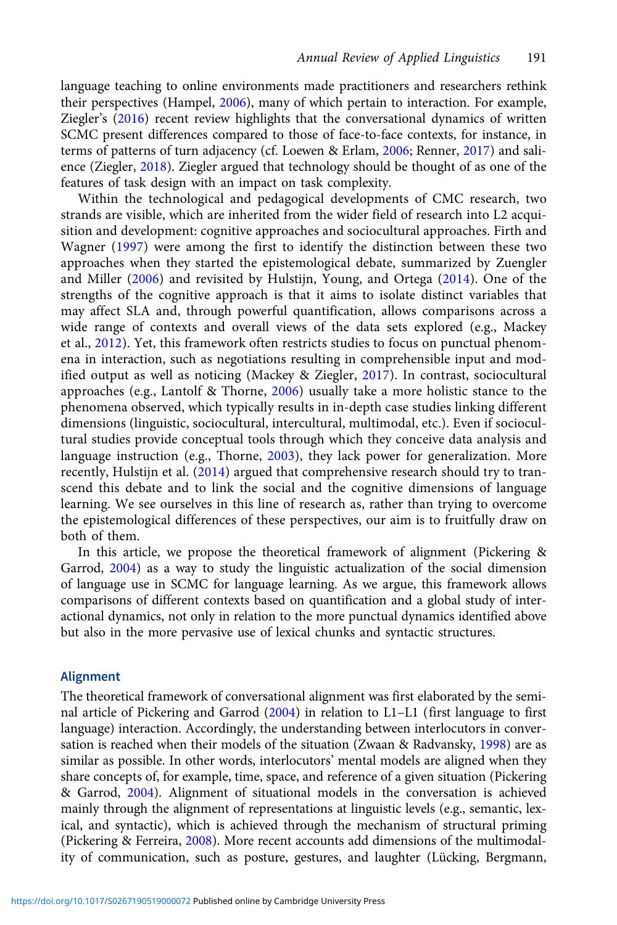language teaching to online environments made practitioners and researchers rethink their perspectives (Hampel, [2006](#page-24-0)), many of which pertain to interaction. For example, Ziegler's [\(2016](#page-26-0)) recent review highlights that the conversational dynamics of written SCMC present differences compared to those of face-to-face contexts, for instance, in terms of patterns of turn adjacency (cf. Loewen & Erlam, [2006;](#page-25-0) Renner, [2017](#page-26-0)) and sali-ence (Ziegler, [2018\)](#page-26-0). Ziegler argued that technology should be thought of as one of the features of task design with an impact on task complexity.

Within the technological and pedagogical developments of CMC research, two strands are visible, which are inherited from the wider field of research into L2 acquisition and development: cognitive approaches and sociocultural approaches. Firth and Wagner [\(1997](#page-24-0)) were among the first to identify the distinction between these two approaches when they started the epistemological debate, summarized by Zuengler and Miller [\(2006](#page-26-0)) and revisited by Hulstijn, Young, and Ortega ([2014](#page-24-0)). One of the strengths of the cognitive approach is that it aims to isolate distinct variables that may affect SLA and, through powerful quantification, allows comparisons across a wide range of contexts and overall views of the data sets explored (e.g., Mackey et al., [2012](#page-25-0)). Yet, this framework often restricts studies to focus on punctual phenomena in interaction, such as negotiations resulting in comprehensible input and modified output as well as noticing (Mackey & Ziegler, [2017\)](#page-25-0). In contrast, sociocultural approaches (e.g., Lantolf & Thorne, [2006](#page-25-0)) usually take a more holistic stance to the phenomena observed, which typically results in in-depth case studies linking different dimensions (linguistic, sociocultural, intercultural, multimodal, etc.). Even if sociocultural studies provide conceptual tools through which they conceive data analysis and language instruction (e.g., Thorne, [2003](#page-26-0)), they lack power for generalization. More recently, Hulstijn et al. ([2014\)](#page-24-0) argued that comprehensive research should try to transcend this debate and to link the social and the cognitive dimensions of language learning. We see ourselves in this line of research as, rather than trying to overcome the epistemological differences of these perspectives, our aim is to fruitfully draw on both of them.

In this article, we propose the theoretical framework of alignment (Pickering & Garrod, [2004](#page-26-0)) as a way to study the linguistic actualization of the social dimension of language use in SCMC for language learning. As we argue, this framework allows comparisons of different contexts based on quantification and a global study of interactional dynamics, not only in relation to the more punctual dynamics identified above but also in the more pervasive use of lexical chunks and syntactic structures.

# Alignment

The theoretical framework of conversational alignment was first elaborated by the seminal article of Pickering and Garrod [\(2004\)](#page-26-0) in relation to L1–L1 (first language to first language) interaction. Accordingly, the understanding between interlocutors in conversation is reached when their models of the situation (Zwaan & Radvansky, [1998](#page-26-0)) are as similar as possible. In other words, interlocutors' mental models are aligned when they share concepts of, for example, time, space, and reference of a given situation (Pickering & Garrod, [2004\)](#page-26-0). Alignment of situational models in the conversation is achieved mainly through the alignment of representations at linguistic levels (e.g., semantic, lexical, and syntactic), which is achieved through the mechanism of structural priming (Pickering & Ferreira, [2008\)](#page-26-0). More recent accounts add dimensions of the multimodality of communication, such as posture, gestures, and laughter (Lücking, Bergmann,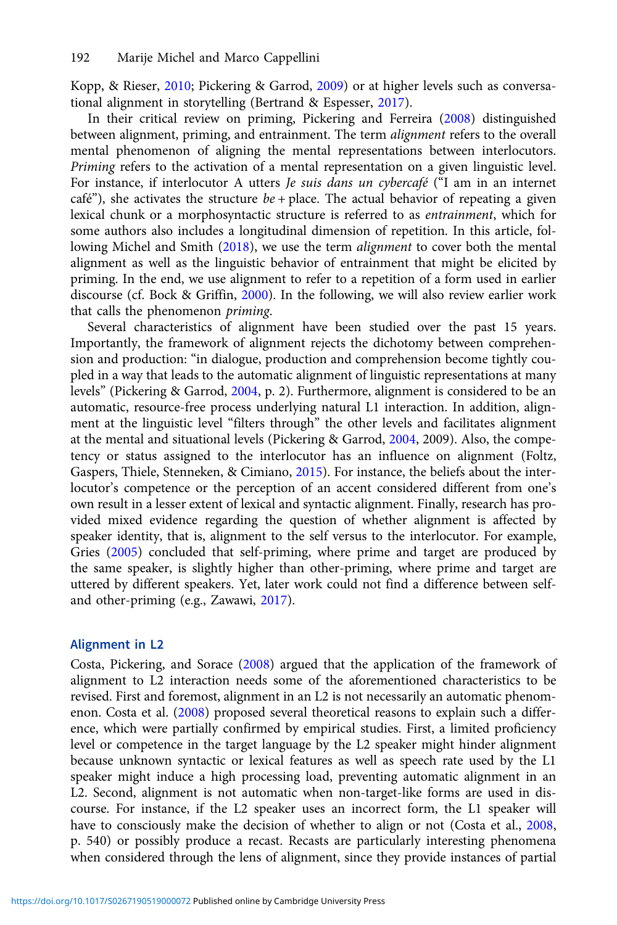Kopp, & Rieser, [2010;](#page-25-0) Pickering & Garrod, [2009](#page-26-0)) or at higher levels such as conversational alignment in storytelling (Bertrand & Espesser, [2017](#page-24-0)).

In their critical review on priming, Pickering and Ferreira ([2008\)](#page-26-0) distinguished between alignment, priming, and entrainment. The term alignment refers to the overall mental phenomenon of aligning the mental representations between interlocutors. Priming refers to the activation of a mental representation on a given linguistic level. For instance, if interlocutor A utters Je suis dans un cybercafé ("I am in an internet café"), she activates the structure  $be + place$ . The actual behavior of repeating a given lexical chunk or a morphosyntactic structure is referred to as entrainment, which for some authors also includes a longitudinal dimension of repetition. In this article, fol-lowing Michel and Smith ([2018\)](#page-25-0), we use the term *alignment* to cover both the mental alignment as well as the linguistic behavior of entrainment that might be elicited by priming. In the end, we use alignment to refer to a repetition of a form used in earlier discourse (cf. Bock & Griffin, [2000\)](#page-24-0). In the following, we will also review earlier work that calls the phenomenon priming.

Several characteristics of alignment have been studied over the past 15 years. Importantly, the framework of alignment rejects the dichotomy between comprehension and production: "in dialogue, production and comprehension become tightly coupled in a way that leads to the automatic alignment of linguistic representations at many levels" (Pickering & Garrod, [2004,](#page-26-0) p. 2). Furthermore, alignment is considered to be an automatic, resource-free process underlying natural L1 interaction. In addition, alignment at the linguistic level "filters through" the other levels and facilitates alignment at the mental and situational levels (Pickering & Garrod, [2004](#page-26-0), 2009). Also, the competency or status assigned to the interlocutor has an influence on alignment (Foltz, Gaspers, Thiele, Stenneken, & Cimiano, [2015\)](#page-24-0). For instance, the beliefs about the interlocutor's competence or the perception of an accent considered different from one's own result in a lesser extent of lexical and syntactic alignment. Finally, research has provided mixed evidence regarding the question of whether alignment is affected by speaker identity, that is, alignment to the self versus to the interlocutor. For example, Gries ([2005](#page-24-0)) concluded that self-priming, where prime and target are produced by the same speaker, is slightly higher than other-priming, where prime and target are uttered by different speakers. Yet, later work could not find a difference between selfand other-priming (e.g., Zawawi, [2017](#page-26-0)).

# Alignment in L2

Costa, Pickering, and Sorace [\(2008\)](#page-24-0) argued that the application of the framework of alignment to L2 interaction needs some of the aforementioned characteristics to be revised. First and foremost, alignment in an L2 is not necessarily an automatic phenomenon. Costa et al. ([2008](#page-24-0)) proposed several theoretical reasons to explain such a difference, which were partially confirmed by empirical studies. First, a limited proficiency level or competence in the target language by the L2 speaker might hinder alignment because unknown syntactic or lexical features as well as speech rate used by the L1 speaker might induce a high processing load, preventing automatic alignment in an L2. Second, alignment is not automatic when non-target-like forms are used in discourse. For instance, if the L2 speaker uses an incorrect form, the L1 speaker will have to consciously make the decision of whether to align or not (Costa et al., [2008](#page-24-0), p. 540) or possibly produce a recast. Recasts are particularly interesting phenomena when considered through the lens of alignment, since they provide instances of partial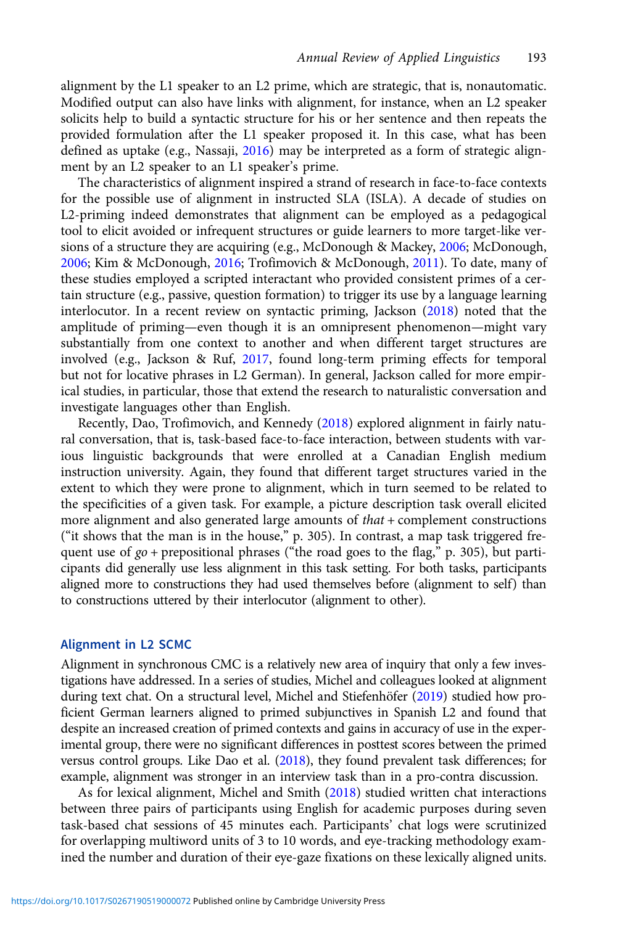alignment by the L1 speaker to an L2 prime, which are strategic, that is, nonautomatic. Modified output can also have links with alignment, for instance, when an L2 speaker solicits help to build a syntactic structure for his or her sentence and then repeats the provided formulation after the L1 speaker proposed it. In this case, what has been defined as uptake (e.g., Nassaji, [2016\)](#page-25-0) may be interpreted as a form of strategic alignment by an L2 speaker to an L1 speaker's prime.

The characteristics of alignment inspired a strand of research in face-to-face contexts for the possible use of alignment in instructed SLA (ISLA). A decade of studies on L2-priming indeed demonstrates that alignment can be employed as a pedagogical tool to elicit avoided or infrequent structures or guide learners to more target-like versions of a structure they are acquiring (e.g., McDonough & Mackey, [2006](#page-25-0); McDonough, [2006](#page-25-0); Kim & McDonough, [2016;](#page-25-0) Trofimovich & McDonough, [2011\)](#page-26-0). To date, many of these studies employed a scripted interactant who provided consistent primes of a certain structure (e.g., passive, question formation) to trigger its use by a language learning interlocutor. In a recent review on syntactic priming, Jackson ([2018\)](#page-24-0) noted that the amplitude of priming—even though it is an omnipresent phenomenon—might vary substantially from one context to another and when different target structures are involved (e.g., Jackson & Ruf, [2017](#page-24-0), found long-term priming effects for temporal but not for locative phrases in L2 German). In general, Jackson called for more empirical studies, in particular, those that extend the research to naturalistic conversation and investigate languages other than English.

Recently, Dao, Trofimovich, and Kennedy [\(2018\)](#page-24-0) explored alignment in fairly natural conversation, that is, task-based face-to-face interaction, between students with various linguistic backgrounds that were enrolled at a Canadian English medium instruction university. Again, they found that different target structures varied in the extent to which they were prone to alignment, which in turn seemed to be related to the specificities of a given task. For example, a picture description task overall elicited more alignment and also generated large amounts of that + complement constructions ("it shows that the man is in the house," p. 305). In contrast, a map task triggered frequent use of  $g_0$  + prepositional phrases ("the road goes to the flag," p. 305), but participants did generally use less alignment in this task setting. For both tasks, participants aligned more to constructions they had used themselves before (alignment to self) than to constructions uttered by their interlocutor (alignment to other).

## Alignment in L2 SCMC

Alignment in synchronous CMC is a relatively new area of inquiry that only a few investigations have addressed. In a series of studies, Michel and colleagues looked at alignment during text chat. On a structural level, Michel and Stiefenhöfer ([2019](#page-25-0)) studied how proficient German learners aligned to primed subjunctives in Spanish L2 and found that despite an increased creation of primed contexts and gains in accuracy of use in the experimental group, there were no significant differences in posttest scores between the primed versus control groups. Like Dao et al. ([2018\)](#page-24-0), they found prevalent task differences; for example, alignment was stronger in an interview task than in a pro-contra discussion.

As for lexical alignment, Michel and Smith ([2018](#page-25-0)) studied written chat interactions between three pairs of participants using English for academic purposes during seven task-based chat sessions of 45 minutes each. Participants' chat logs were scrutinized for overlapping multiword units of 3 to 10 words, and eye-tracking methodology examined the number and duration of their eye-gaze fixations on these lexically aligned units.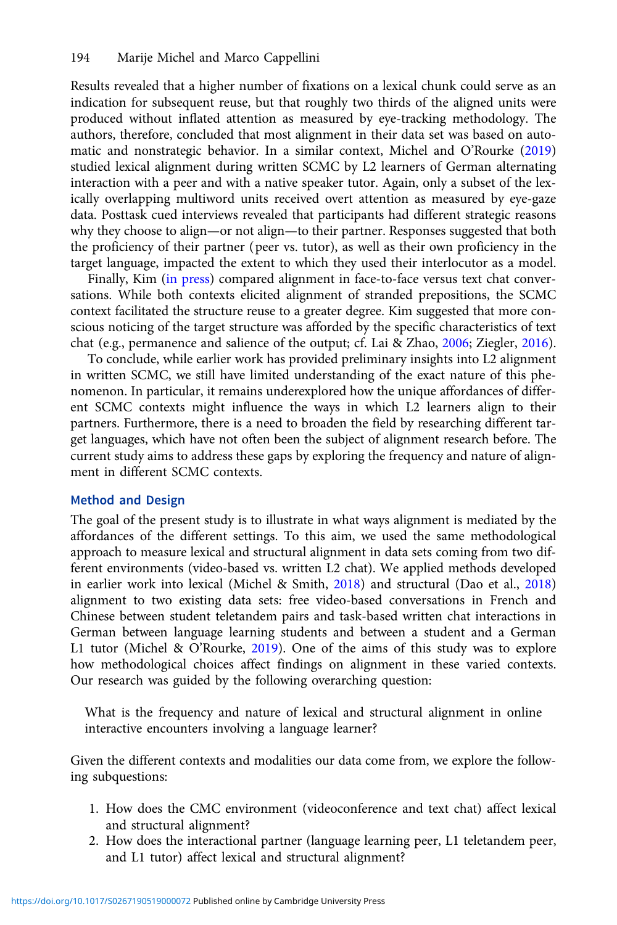Results revealed that a higher number of fixations on a lexical chunk could serve as an indication for subsequent reuse, but that roughly two thirds of the aligned units were produced without inflated attention as measured by eye-tracking methodology. The authors, therefore, concluded that most alignment in their data set was based on automatic and nonstrategic behavior. In a similar context, Michel and O'Rourke [\(2019](#page-25-0)) studied lexical alignment during written SCMC by L2 learners of German alternating interaction with a peer and with a native speaker tutor. Again, only a subset of the lexically overlapping multiword units received overt attention as measured by eye-gaze data. Posttask cued interviews revealed that participants had different strategic reasons why they choose to align—or not align—to their partner. Responses suggested that both the proficiency of their partner (peer vs. tutor), as well as their own proficiency in the target language, impacted the extent to which they used their interlocutor as a model.

Finally, Kim [\(in press\)](#page-25-0) compared alignment in face-to-face versus text chat conversations. While both contexts elicited alignment of stranded prepositions, the SCMC context facilitated the structure reuse to a greater degree. Kim suggested that more conscious noticing of the target structure was afforded by the specific characteristics of text chat (e.g., permanence and salience of the output; cf. Lai & Zhao, [2006](#page-25-0); Ziegler, [2016\)](#page-26-0).

To conclude, while earlier work has provided preliminary insights into L2 alignment in written SCMC, we still have limited understanding of the exact nature of this phenomenon. In particular, it remains underexplored how the unique affordances of different SCMC contexts might influence the ways in which L2 learners align to their partners. Furthermore, there is a need to broaden the field by researching different target languages, which have not often been the subject of alignment research before. The current study aims to address these gaps by exploring the frequency and nature of alignment in different SCMC contexts.

# Method and Design

The goal of the present study is to illustrate in what ways alignment is mediated by the affordances of the different settings. To this aim, we used the same methodological approach to measure lexical and structural alignment in data sets coming from two different environments (video-based vs. written L2 chat). We applied methods developed in earlier work into lexical (Michel & Smith, [2018](#page-25-0)) and structural (Dao et al., [2018](#page-24-0)) alignment to two existing data sets: free video-based conversations in French and Chinese between student teletandem pairs and task-based written chat interactions in German between language learning students and between a student and a German L1 tutor (Michel & O'Rourke, [2019\)](#page-25-0). One of the aims of this study was to explore how methodological choices affect findings on alignment in these varied contexts. Our research was guided by the following overarching question:

What is the frequency and nature of lexical and structural alignment in online interactive encounters involving a language learner?

Given the different contexts and modalities our data come from, we explore the following subquestions:

- 1. How does the CMC environment (videoconference and text chat) affect lexical and structural alignment?
- 2. How does the interactional partner (language learning peer, L1 teletandem peer, and L1 tutor) affect lexical and structural alignment?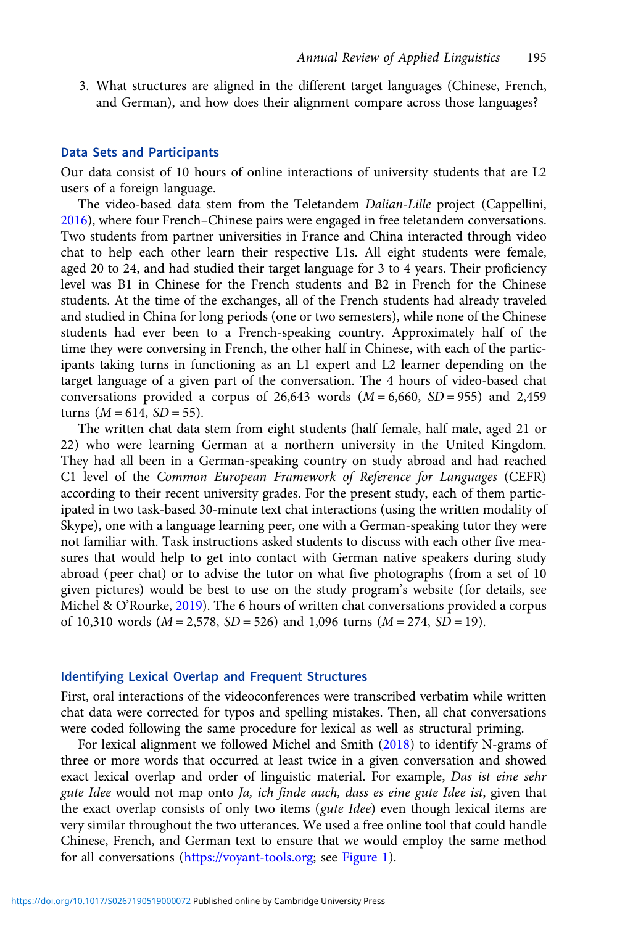3. What structures are aligned in the different target languages (Chinese, French, and German), and how does their alignment compare across those languages?

## Data Sets and Participants

Our data consist of 10 hours of online interactions of university students that are L2 users of a foreign language.

The video-based data stem from the Teletandem Dalian-Lille project (Cappellini, [2016](#page-24-0)), where four French–Chinese pairs were engaged in free teletandem conversations. Two students from partner universities in France and China interacted through video chat to help each other learn their respective L1s. All eight students were female, aged 20 to 24, and had studied their target language for 3 to 4 years. Their proficiency level was B1 in Chinese for the French students and B2 in French for the Chinese students. At the time of the exchanges, all of the French students had already traveled and studied in China for long periods (one or two semesters), while none of the Chinese students had ever been to a French-speaking country. Approximately half of the time they were conversing in French, the other half in Chinese, with each of the participants taking turns in functioning as an L1 expert and L2 learner depending on the target language of a given part of the conversation. The 4 hours of video-based chat conversations provided a corpus of 26,643 words  $(M = 6,660, SD = 955)$  and 2,459 turns  $(M = 614, SD = 55)$ .

The written chat data stem from eight students (half female, half male, aged 21 or 22) who were learning German at a northern university in the United Kingdom. They had all been in a German-speaking country on study abroad and had reached C1 level of the Common European Framework of Reference for Languages (CEFR) according to their recent university grades. For the present study, each of them participated in two task-based 30-minute text chat interactions (using the written modality of Skype), one with a language learning peer, one with a German-speaking tutor they were not familiar with. Task instructions asked students to discuss with each other five measures that would help to get into contact with German native speakers during study abroad (peer chat) or to advise the tutor on what five photographs (from a set of 10 given pictures) would be best to use on the study program's website (for details, see Michel & O'Rourke, [2019\)](#page-25-0). The 6 hours of written chat conversations provided a corpus of 10,310 words  $(M = 2,578, SD = 526)$  and 1,096 turns  $(M = 274, SD = 19)$ .

## Identifying Lexical Overlap and Frequent Structures

First, oral interactions of the videoconferences were transcribed verbatim while written chat data were corrected for typos and spelling mistakes. Then, all chat conversations were coded following the same procedure for lexical as well as structural priming.

For lexical alignment we followed Michel and Smith [\(2018\)](#page-25-0) to identify N-grams of three or more words that occurred at least twice in a given conversation and showed exact lexical overlap and order of linguistic material. For example, Das ist eine sehr gute Idee would not map onto Ja, ich finde auch, dass es eine gute Idee ist, given that the exact overlap consists of only two items (gute Idee) even though lexical items are very similar throughout the two utterances. We used a free online tool that could handle Chinese, French, and German text to ensure that we would employ the same method for all conversations (<https://voyant-tools.org>; see [Figure 1](#page-8-0)).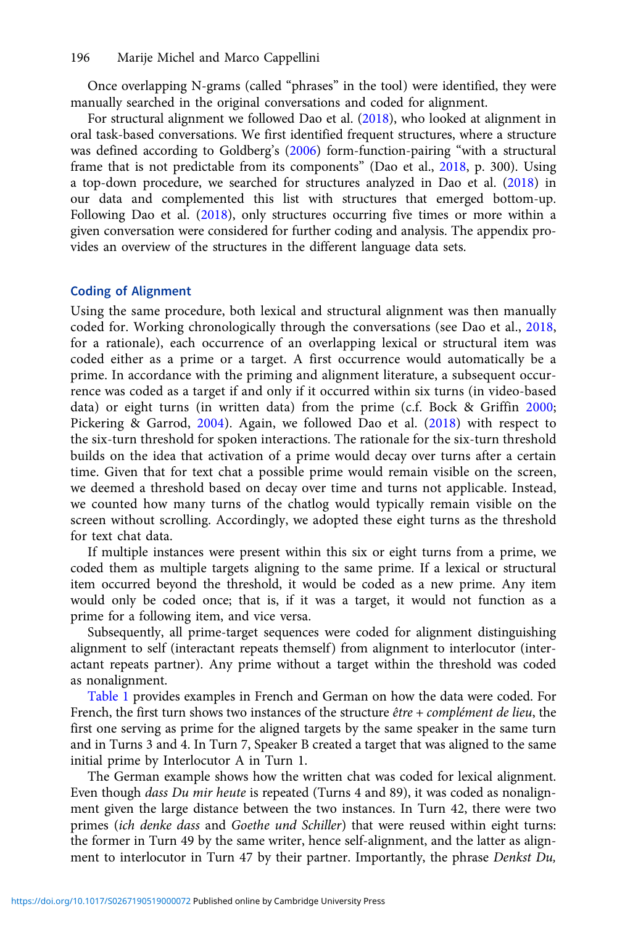Once overlapping N-grams (called "phrases" in the tool) were identified, they were manually searched in the original conversations and coded for alignment.

For structural alignment we followed Dao et al. ([2018](#page-24-0)), who looked at alignment in oral task-based conversations. We first identified frequent structures, where a structure was defined according to Goldberg's ([2006](#page-24-0)) form-function-pairing "with a structural frame that is not predictable from its components" (Dao et al., [2018](#page-24-0), p. 300). Using a top-down procedure, we searched for structures analyzed in Dao et al. [\(2018\)](#page-24-0) in our data and complemented this list with structures that emerged bottom-up. Following Dao et al. ([2018](#page-24-0)), only structures occurring five times or more within a given conversation were considered for further coding and analysis. The appendix provides an overview of the structures in the different language data sets.

# Coding of Alignment

Using the same procedure, both lexical and structural alignment was then manually coded for. Working chronologically through the conversations (see Dao et al., [2018](#page-24-0), for a rationale), each occurrence of an overlapping lexical or structural item was coded either as a prime or a target. A first occurrence would automatically be a prime. In accordance with the priming and alignment literature, a subsequent occurrence was coded as a target if and only if it occurred within six turns (in video-based data) or eight turns (in written data) from the prime (c.f. Bock & Griffin [2000](#page-24-0); Pickering & Garrod, [2004](#page-26-0)). Again, we followed Dao et al. [\(2018](#page-24-0)) with respect to the six-turn threshold for spoken interactions. The rationale for the six-turn threshold builds on the idea that activation of a prime would decay over turns after a certain time. Given that for text chat a possible prime would remain visible on the screen, we deemed a threshold based on decay over time and turns not applicable. Instead, we counted how many turns of the chatlog would typically remain visible on the screen without scrolling. Accordingly, we adopted these eight turns as the threshold for text chat data.

If multiple instances were present within this six or eight turns from a prime, we coded them as multiple targets aligning to the same prime. If a lexical or structural item occurred beyond the threshold, it would be coded as a new prime. Any item would only be coded once; that is, if it was a target, it would not function as a prime for a following item, and vice versa.

Subsequently, all prime-target sequences were coded for alignment distinguishing alignment to self (interactant repeats themself) from alignment to interlocutor (interactant repeats partner). Any prime without a target within the threshold was coded as nonalignment.

[Table 1](#page-9-0) provides examples in French and German on how the data were coded. For French, the first turn shows two instances of the structure être + complément de lieu, the first one serving as prime for the aligned targets by the same speaker in the same turn and in Turns 3 and 4. In Turn 7, Speaker B created a target that was aligned to the same initial prime by Interlocutor A in Turn 1.

The German example shows how the written chat was coded for lexical alignment. Even though dass Du mir heute is repeated (Turns 4 and 89), it was coded as nonalignment given the large distance between the two instances. In Turn 42, there were two primes (ich denke dass and Goethe und Schiller) that were reused within eight turns: the former in Turn 49 by the same writer, hence self-alignment, and the latter as alignment to interlocutor in Turn 47 by their partner. Importantly, the phrase Denkst Du,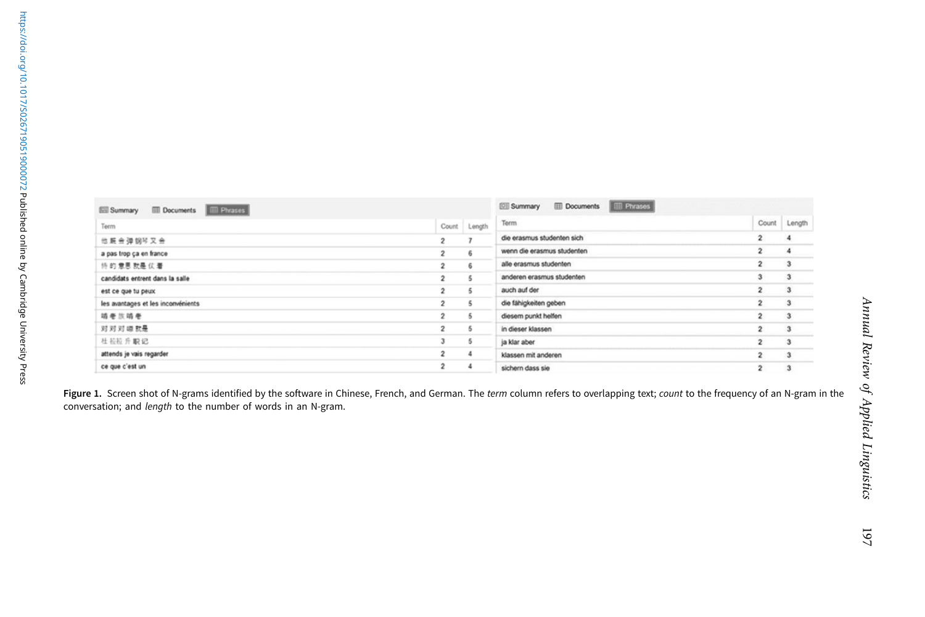<span id="page-8-0"></span>

| <b>EE Summary</b>        | <b>III</b> Documents               | <b>III</b> Phrases |  |
|--------------------------|------------------------------------|--------------------|--|
| Term                     |                                    |                    |  |
| 他既会弹钢琴又会                 |                                    |                    |  |
| a pas trop ça en france  |                                    |                    |  |
| 待的意思就是仗着                 |                                    |                    |  |
|                          | candidats entrent dans la salle    |                    |  |
| est ce que tu peux       |                                    |                    |  |
|                          | les avantages et les inconvénients |                    |  |
| 墙老旅哨老                    |                                    |                    |  |
| 对对对调就是                   |                                    |                    |  |
| 杜拉拉升职记                   |                                    |                    |  |
| attends je vais regarder |                                    |                    |  |
| ce que c'est un          |                                    |                    |  |

Figure 1. Screen shot of N-grams identified by the software in Chinese, French, and German. The term column refers to overlapping text; count to the frequency of an N-gram in the conversation; and length to the number of words in an N-gram.

Count Length

 $\boldsymbol{2}$  $\mathbf 6$ 

 $\mathbf{2}$ 6

 $\overline{2}$  $\overline{5}$ 

 $\mathbf{2}$  $\mathsf{s}$ 

 $\overline{2}$  $5$ 

 $\overline{2}$ 

 $\overline{2}$  $\sqrt{5}$ 

 $\overline{\mathbf{3}}$  $5\overline{5}$ 

 $\overline{2}$  $\overline{\bf 4}$ 

 $\overline{2}$  $\pmb{4}$ 

 $\overline{7}$  $\overline{2}$ 

 $\overline{5}$ 

**III** Documents **IIII** Phrases

**III** Summary Term

auch auf der

die erasmus studenten sich

alle erasmus studenten

die fähigkeiten geben

diesem punkt helfen

klassen mit anderen

in dieser klassen

sichern dass sie

ja klar aber

wenn die erasmus studenten

anderen erasmus studenten

Count Length

 $\overline{4}$ 

 $\overline{4}$ 

 $\overline{\mathbf{3}}$ 

 $\mathbf{3}$ 

 $\mathbf 3$ 

 $\overline{\mathbf{3}}$ 

 $\overline{\mathbf{3}}$ 

 $\overline{\mathbf{3}}$ 

 $\overline{2}$ 

 $\overline{2}$ 

 $\mathbf{2}$  $\mathbf 3$ 

 $\overline{\mathbf{3}}$ 

 $\mathbf 2$ 

 $\overline{\mathbf{2}}$ 

 $\overline{2}$ 

 $\overline{2}$ 

 $\overline{2}$ 

 $\overline{2}$  $\mathbf 3$ 

 $\overline{2}$  $\overline{\mathbf{3}}$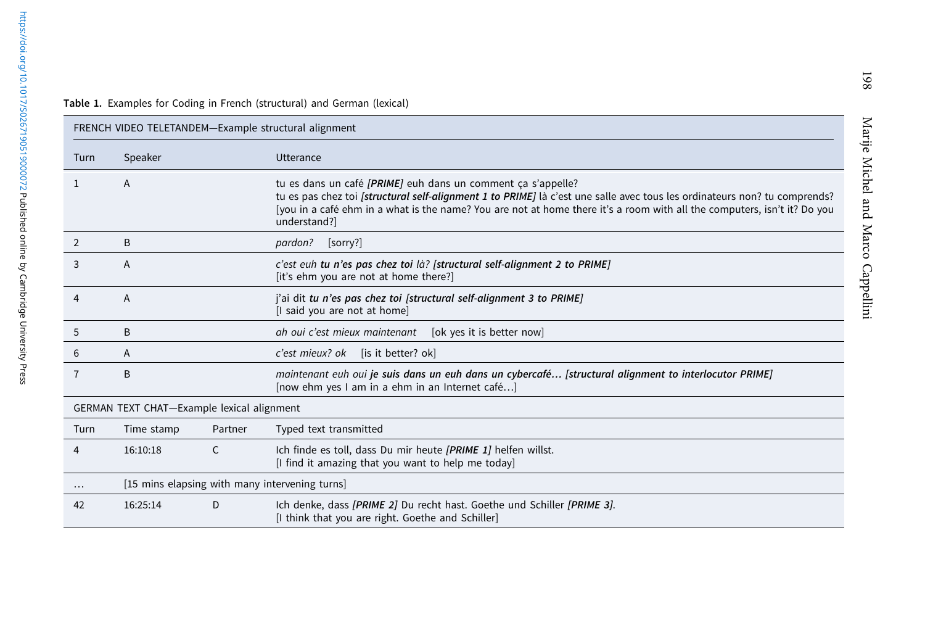<span id="page-9-0"></span>

|                | FRENCH VIDEO TELETANDEM-Example structural alignment |         |                                                                                                                                                                                                                                                                                                                                       |  |  |  |  |  |  |  |
|----------------|------------------------------------------------------|---------|---------------------------------------------------------------------------------------------------------------------------------------------------------------------------------------------------------------------------------------------------------------------------------------------------------------------------------------|--|--|--|--|--|--|--|
| Turn           | Speaker<br>Utterance                                 |         |                                                                                                                                                                                                                                                                                                                                       |  |  |  |  |  |  |  |
| 1              | A                                                    |         | tu es dans un café [PRIME] euh dans un comment ça s'appelle?<br>tu es pas chez toi [structural self-alignment 1 to PRIME] là c'est une salle avec tous les ordinateurs non? tu comprends?<br>[you in a café ehm in a what is the name? You are not at home there it's a room with all the computers, isn't it? Do you<br>understand?] |  |  |  |  |  |  |  |
| $\overline{2}$ | B                                                    |         | pardon?<br>[sorry?]                                                                                                                                                                                                                                                                                                                   |  |  |  |  |  |  |  |
| 3              | A                                                    |         | c'est euh tu n'es pas chez toi là? [structural self-alignment 2 to PRIME]<br>[it's ehm you are not at home there?]                                                                                                                                                                                                                    |  |  |  |  |  |  |  |
| $\overline{4}$ | A                                                    |         | j'ai dit tu n'es pas chez toi [structural self-alignment 3 to PRIME]<br>[I said you are not at home]                                                                                                                                                                                                                                  |  |  |  |  |  |  |  |
| 5              | B                                                    |         | ah oui c'est mieux maintenant<br>[ok yes it is better now]                                                                                                                                                                                                                                                                            |  |  |  |  |  |  |  |
| 6              | A                                                    |         | c'est mieux? ok<br>[is it better? ok]                                                                                                                                                                                                                                                                                                 |  |  |  |  |  |  |  |
| $\overline{7}$ | B                                                    |         | maintenant euh oui je suis dans un euh dans un cybercafé [structural alignment to interlocutor PRIME]<br>[now ehm yes I am in a ehm in an Internet café]                                                                                                                                                                              |  |  |  |  |  |  |  |
|                | GERMAN TEXT CHAT-Example lexical alignment           |         |                                                                                                                                                                                                                                                                                                                                       |  |  |  |  |  |  |  |
| Turn           | Time stamp                                           | Partner | Typed text transmitted                                                                                                                                                                                                                                                                                                                |  |  |  |  |  |  |  |
| 4              | 16:10:18                                             | C       | Ich finde es toll, dass Du mir heute [PRIME 1] helfen willst.<br>[I find it amazing that you want to help me today]                                                                                                                                                                                                                   |  |  |  |  |  |  |  |
| $\cdots$       | [15 mins elapsing with many intervening turns]       |         |                                                                                                                                                                                                                                                                                                                                       |  |  |  |  |  |  |  |
| 42             | 16:25:14                                             | D       | Ich denke, dass [PRIME 2] Du recht hast. Goethe und Schiller [PRIME 3].<br>[I think that you are right. Goethe and Schiller]                                                                                                                                                                                                          |  |  |  |  |  |  |  |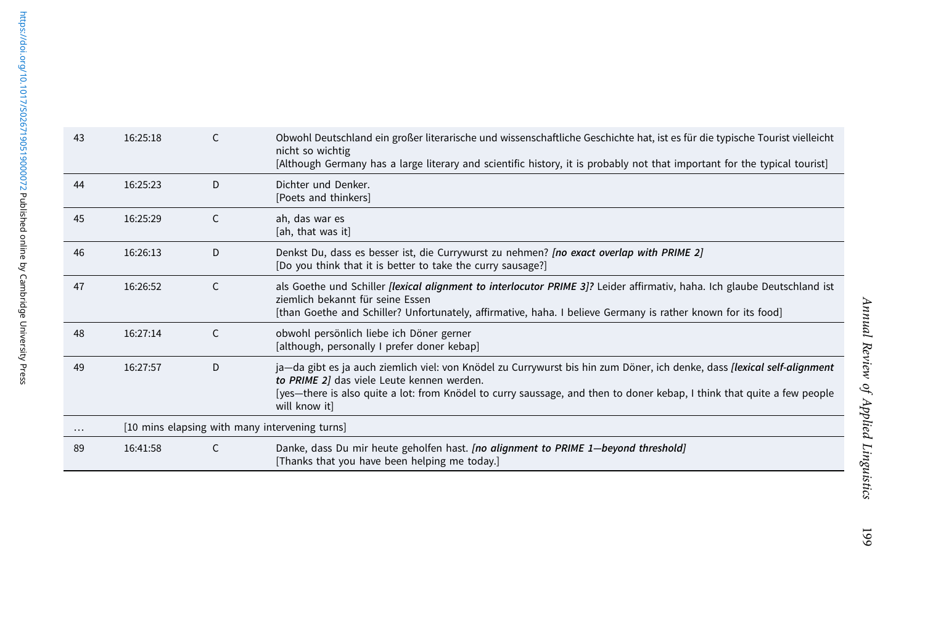| 43       | 16:25:18                                       | C | Obwohl Deutschland ein großer literarische und wissenschaftliche Geschichte hat, ist es für die typische Tourist vielleicht<br>nicht so wichtig<br>[Although Germany has a large literary and scientific history, it is probably not that important for the typical tourist]                                       |
|----------|------------------------------------------------|---|--------------------------------------------------------------------------------------------------------------------------------------------------------------------------------------------------------------------------------------------------------------------------------------------------------------------|
| 44       | 16:25:23                                       | D | Dichter und Denker.<br>[Poets and thinkers]                                                                                                                                                                                                                                                                        |
| 45       | 16:25:29                                       | C | ah, das war es<br>[ah, that was it]                                                                                                                                                                                                                                                                                |
| 46       | 16:26:13                                       | D | Denkst Du, dass es besser ist, die Currywurst zu nehmen? <i>[no exact overlap with PRIME 2]</i><br>[Do you think that it is better to take the curry sausage?]                                                                                                                                                     |
| 47       | 16:26:52                                       | C | als Goethe und Schiller <i>[lexical alignment to interlocutor PRIME 3]?</i> Leider affirmativ, haha. Ich glaube Deutschland ist<br>ziemlich bekannt für seine Essen<br>[than Goethe and Schiller? Unfortunately, affirmative, haha. I believe Germany is rather known for its food]                                |
| 48       | 16:27:14                                       | C | obwohl persönlich liebe ich Döner gerner<br>[although, personally I prefer doner kebap]                                                                                                                                                                                                                            |
| 49       | 16:27:57                                       | D | ja-da gibt es ja auch ziemlich viel: von Knödel zu Currywurst bis hin zum Döner, ich denke, dass [lexical self-alignment<br>to PRIME 2] das viele Leute kennen werden.<br>[yes-there is also quite a lot: from Knödel to curry saussage, and then to doner kebap, I think that quite a few people<br>will know it] |
| $\cdots$ | [10 mins elapsing with many intervening turns] |   |                                                                                                                                                                                                                                                                                                                    |
| 89       | 16:41:58                                       | C | Danke, dass Du mir heute geholfen hast. <i>[no alignment to PRIME 1—beyond threshold]</i><br>[Thanks that you have been helping me today.]                                                                                                                                                                         |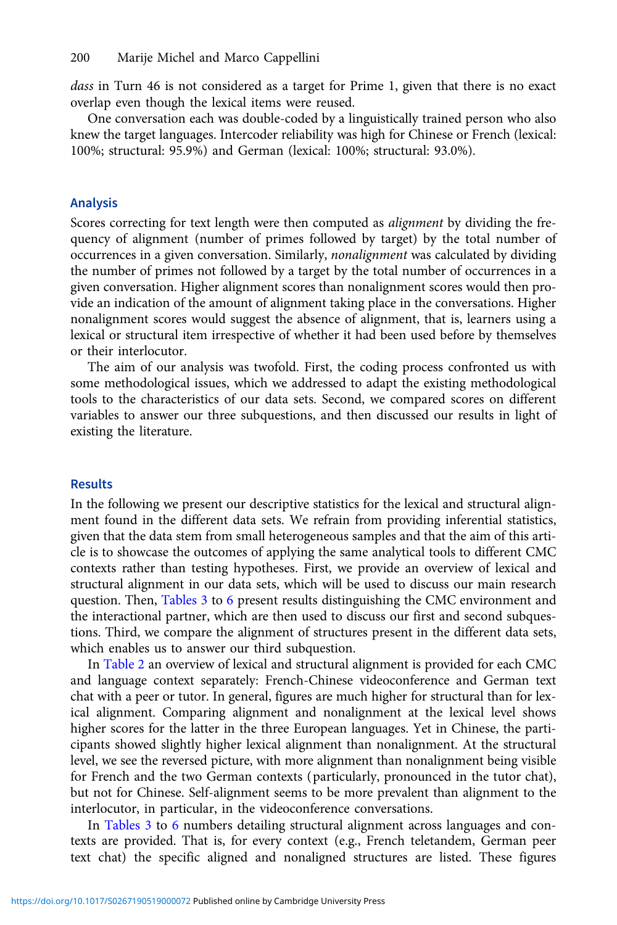dass in Turn 46 is not considered as a target for Prime 1, given that there is no exact overlap even though the lexical items were reused.

One conversation each was double-coded by a linguistically trained person who also knew the target languages. Intercoder reliability was high for Chinese or French (lexical: 100%; structural: 95.9%) and German (lexical: 100%; structural: 93.0%).

# Analysis

Scores correcting for text length were then computed as alignment by dividing the frequency of alignment (number of primes followed by target) by the total number of occurrences in a given conversation. Similarly, nonalignment was calculated by dividing the number of primes not followed by a target by the total number of occurrences in a given conversation. Higher alignment scores than nonalignment scores would then provide an indication of the amount of alignment taking place in the conversations. Higher nonalignment scores would suggest the absence of alignment, that is, learners using a lexical or structural item irrespective of whether it had been used before by themselves or their interlocutor.

The aim of our analysis was twofold. First, the coding process confronted us with some methodological issues, which we addressed to adapt the existing methodological tools to the characteristics of our data sets. Second, we compared scores on different variables to answer our three subquestions, and then discussed our results in light of existing the literature.

## **Results**

In the following we present our descriptive statistics for the lexical and structural alignment found in the different data sets. We refrain from providing inferential statistics, given that the data stem from small heterogeneous samples and that the aim of this article is to showcase the outcomes of applying the same analytical tools to different CMC contexts rather than testing hypotheses. First, we provide an overview of lexical and structural alignment in our data sets, which will be used to discuss our main research question. Then, [Tables 3](#page-13-0) to [6](#page-16-0) present results distinguishing the CMC environment and the interactional partner, which are then used to discuss our first and second subquestions. Third, we compare the alignment of structures present in the different data sets, which enables us to answer our third subquestion.

In [Table 2](#page-12-0) an overview of lexical and structural alignment is provided for each CMC and language context separately: French-Chinese videoconference and German text chat with a peer or tutor. In general, figures are much higher for structural than for lexical alignment. Comparing alignment and nonalignment at the lexical level shows higher scores for the latter in the three European languages. Yet in Chinese, the participants showed slightly higher lexical alignment than nonalignment. At the structural level, we see the reversed picture, with more alignment than nonalignment being visible for French and the two German contexts (particularly, pronounced in the tutor chat), but not for Chinese. Self-alignment seems to be more prevalent than alignment to the interlocutor, in particular, in the videoconference conversations.

In [Tables 3](#page-13-0) to [6](#page-16-0) numbers detailing structural alignment across languages and contexts are provided. That is, for every context (e.g., French teletandem, German peer text chat) the specific aligned and nonaligned structures are listed. These figures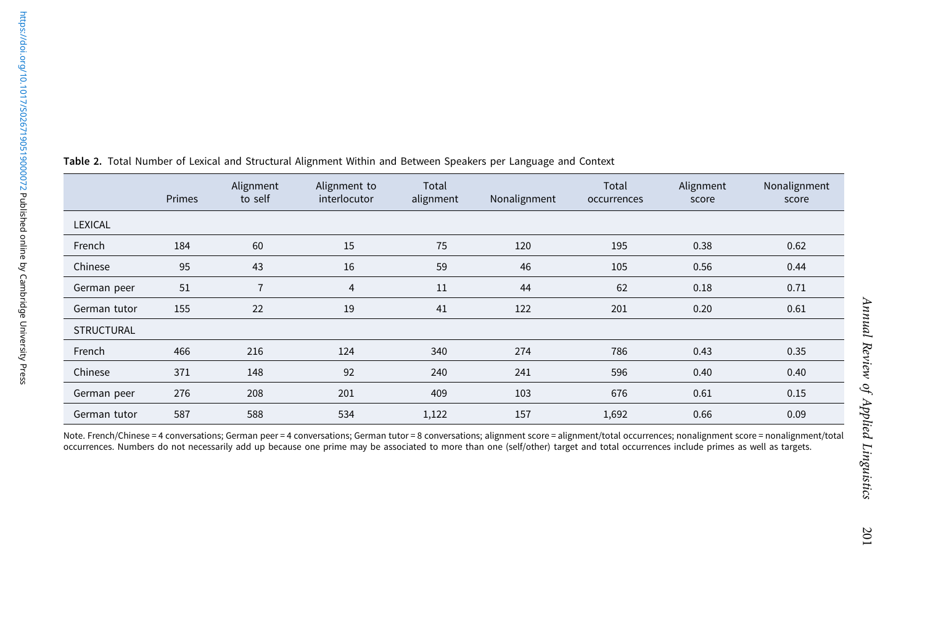|                   | <b>Primes</b> | Alignment<br>to self | Alignment to<br>interlocutor | Total<br>alignment | Nonalignment | Total<br>occurrences | Alignment<br>score | Nonalignment<br>score |
|-------------------|---------------|----------------------|------------------------------|--------------------|--------------|----------------------|--------------------|-----------------------|
| <b>LEXICAL</b>    |               |                      |                              |                    |              |                      |                    |                       |
| French            | 184           | 60                   | 15                           | 75                 | 120          | 195                  | 0.38               | 0.62                  |
| Chinese           | 95            | 43                   | 16                           | 59                 | 46           | 105                  | 0.56               | 0.44                  |
| German peer       | 51            | $\overline{7}$       | $\overline{4}$               | 11                 | 44           | 62                   | 0.18               | 0.71                  |
| German tutor      | 155           | 22                   | 19                           | 41                 | 122          | 201                  | 0.20               | 0.61                  |
| <b>STRUCTURAL</b> |               |                      |                              |                    |              |                      |                    |                       |
| French            | 466           | 216                  | 124                          | 340                | 274          | 786                  | 0.43               | 0.35                  |
| Chinese           | 371           | 148                  | 92                           | 240                | 241          | 596                  | 0.40               | 0.40                  |
| German peer       | 276           | 208                  | 201                          | 409                | 103          | 676                  | 0.61               | 0.15                  |
| German tutor      | 587           | 588                  | 534                          | 1,122              | 157          | 1,692                | 0.66               | 0.09                  |

#### <span id="page-12-0"></span>Table 2. Total Number of Lexical and Structural Alignment Within and Between Speakers per Language and Context

Note. French/Chinese = 4 conversations; German peer = 4 conversations; German tutor = 8 conversations; alignment score = alignment/total occurrences; nonalignment score = nonalignment/total<br>occurrences. Numbers do not nece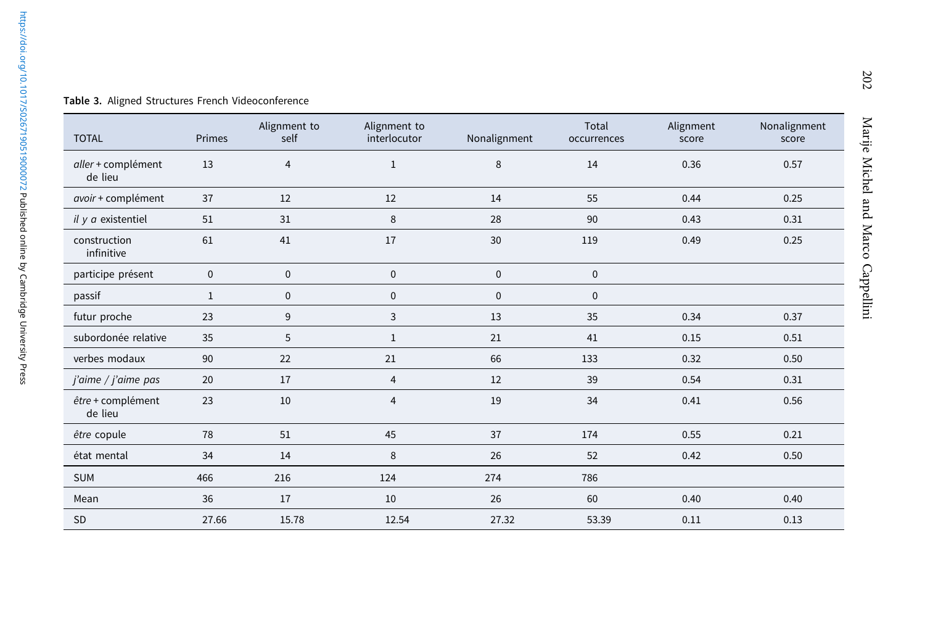| <b>TOTAL</b>                  | Primes       | Alignment to<br>self | Alignment to<br>interlocutor | Nonalignment | Total<br>occurrences | Alignment<br>score | Nonalignment<br>score |
|-------------------------------|--------------|----------------------|------------------------------|--------------|----------------------|--------------------|-----------------------|
| aller + complément<br>de lieu | 13           | 4                    | 1                            | 8            | 14                   | 0.36               | 0.57                  |
| avoir + complément            | 37           | 12                   | 12                           | 14           | 55                   | 0.44               | 0.25                  |
| il y a existentiel            | 51           | 31                   | 8                            | 28           | 90                   | 0.43               | 0.31                  |
| construction<br>infinitive    | 61           | 41                   | 17                           | 30           | 119                  | 0.49               | 0.25                  |
| participe présent             | $\mathbf 0$  | $\mathbf 0$          | $\mathbf 0$                  | $\mathbf 0$  | $\mathbf 0$          |                    |                       |
| passif                        | $\mathbf{1}$ | $\mathbf 0$          | $\mathbf 0$                  | $\mathbf 0$  | $\mathbf 0$          |                    |                       |
| futur proche                  | 23           | 9                    | 3                            | 13           | 35                   | 0.34               | 0.37                  |
| subordonée relative           | 35           | 5                    | 1                            | 21           | 41                   | 0.15               | 0.51                  |
| verbes modaux                 | 90           | 22                   | 21                           | 66           | 133                  | 0.32               | 0.50                  |
| $j'$ aime / $j'$ aime pas     | 20           | 17                   | 4                            | 12           | 39                   | 0.54               | 0.31                  |
| être + complément<br>de lieu  | 23           | 10                   | 4                            | 19           | 34                   | 0.41               | 0.56                  |
| être copule                   | 78           | 51                   | 45                           | 37           | 174                  | 0.55               | 0.21                  |
| état mental                   | 34           | 14                   | 8                            | 26           | 52                   | 0.42               | 0.50                  |
| <b>SUM</b>                    | 466          | 216                  | 124                          | 274          | 786                  |                    |                       |
| Mean                          | 36           | 17                   | 10                           | 26           | 60                   | 0.40               | 0.40                  |
| SD                            | 27.66        | 15.78                | 12.54                        | 27.32        | 53.39                | 0.11               | 0.13                  |

#### <span id="page-13-0"></span>Table 3. Aligned Structures French Videoconference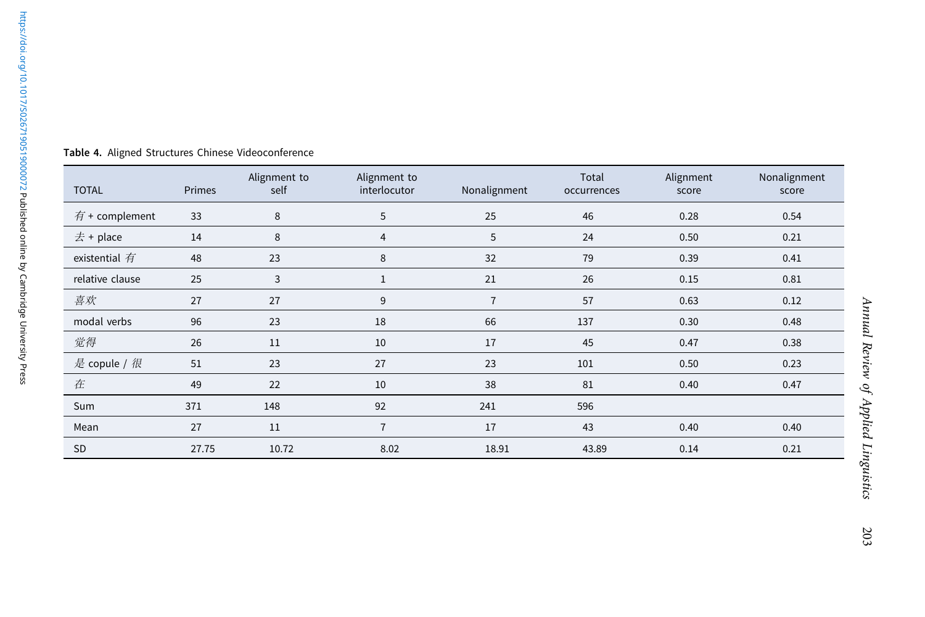| <b>TOTAL</b>           | Primes | Alignment to<br>self | Alignment to<br>interlocutor | Nonalignment   | Total<br>occurrences | Alignment<br>score | Nonalignment<br>score |
|------------------------|--------|----------------------|------------------------------|----------------|----------------------|--------------------|-----------------------|
| $\bar{f}$ + complement | 33     | 8                    | 5                            | 25             | 46                   | 0.28               | 0.54                  |
| $\pm$ + place          | 14     | 8                    | 4                            | 5              | 24                   | 0.50               | 0.21                  |
| existential $\bar{f}$  | 48     | 23                   | 8                            | 32             | 79                   | 0.39               | 0.41                  |
| relative clause        | 25     | 3                    | $\mathbf 1$                  | 21             | 26                   | 0.15               | 0.81                  |
| 喜欢                     | 27     | 27                   | 9                            | $\overline{1}$ | 57                   | 0.63               | 0.12                  |
| modal verbs            | 96     | 23                   | 18                           | 66             | 137                  | 0.30               | 0.48                  |
| 觉得                     | 26     | 11                   | 10                           | 17             | 45                   | 0.47               | 0.38                  |
| 是 copule / 很           | 51     | 23                   | 27                           | 23             | 101                  | 0.50               | 0.23                  |
| 在                      | 49     | 22                   | 10                           | 38             | 81                   | 0.40               | 0.47                  |
| Sum                    | 371    | 148                  | 92                           | 241            | 596                  |                    |                       |
| Mean                   | 27     | 11                   | $\overline{7}$               | 17             | 43                   | 0.40               | 0.40                  |
| <b>SD</b>              | 27.75  | 10.72                | 8.02                         | 18.91          | 43.89                | 0.14               | 0.21                  |

## Table 4. Aligned Structures Chinese Videoconference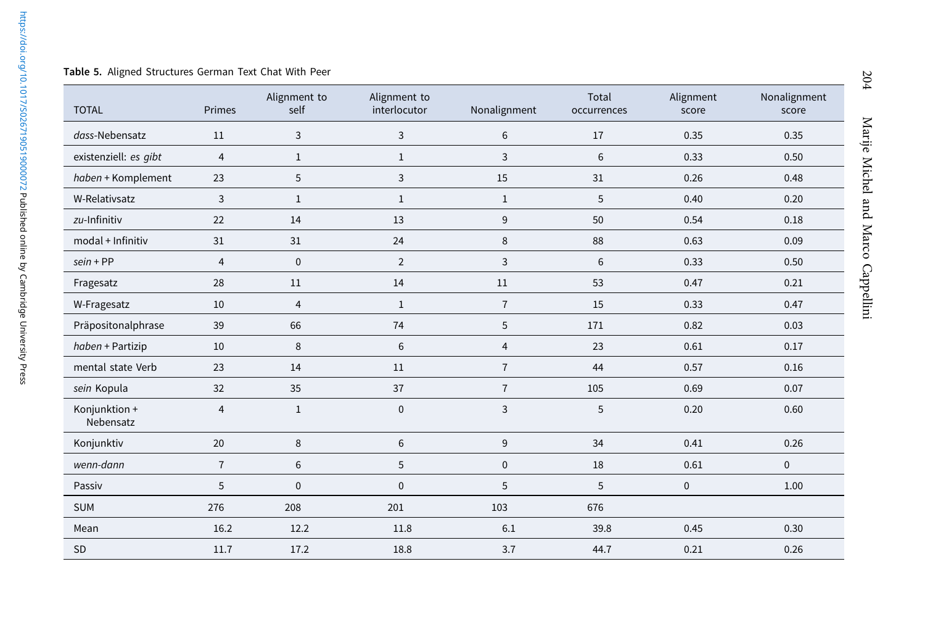#### Table 5. Aligned Structures German Text Chat With Peer

| <b>TOTAL</b>               | Primes         | Alignment to<br>self | Alignment to<br>interlocutor | Nonalignment   | Total<br>occurrences | Alignment<br>score | Nonalignment<br>score |
|----------------------------|----------------|----------------------|------------------------------|----------------|----------------------|--------------------|-----------------------|
| dass-Nebensatz             | 11             | 3                    | 3                            | 6              | 17                   | 0.35               | 0.35                  |
| existenziell: es gibt      | $\overline{4}$ | $\mathbf{1}$         | $\mathbf{1}$                 | 3              | 6                    | 0.33               | 0.50                  |
| haben + Komplement         | 23             | 5                    | 3                            | 15             | 31                   | 0.26               | 0.48                  |
| W-Relativsatz              | 3              | $\mathbf{1}$         | $\mathbf{1}$                 | 1              | 5                    | 0.40               | 0.20                  |
| zu-Infinitiv               | 22             | 14                   | 13                           | 9              | 50                   | 0.54               | 0.18                  |
| modal + Infinitiv          | 31             | 31                   | 24                           | 8              | 88                   | 0.63               | 0.09                  |
| $sein + PP$                | $\overline{4}$ | $\mathbf 0$          | $\overline{2}$               | 3              | 6                    | 0.33               | 0.50                  |
| Fragesatz                  | 28             | 11                   | 14                           | 11             | 53                   | 0.47               | 0.21                  |
| W-Fragesatz                | 10             | $\overline{4}$       | $\mathbf{1}$                 | $\overline{7}$ | 15                   | 0.33               | 0.47                  |
| Präpositonalphrase         | 39             | 66                   | 74                           | 5              | 171                  | 0.82               | 0.03                  |
| haben + Partizip           | 10             | 8                    | 6                            | $\overline{4}$ | 23                   | 0.61               | 0.17                  |
| mental state Verb          | 23             | 14                   | 11                           | $\overline{7}$ | 44                   | 0.57               | 0.16                  |
| sein Kopula                | 32             | 35                   | 37                           | $\overline{7}$ | 105                  | 0.69               | 0.07                  |
| Konjunktion +<br>Nebensatz | $\overline{4}$ | $\mathbf{1}$         | $\mathbf 0$                  | 3              | 5                    | 0.20               | 0.60                  |
| Konjunktiv                 | 20             | 8                    | 6                            | 9              | 34                   | 0.41               | 0.26                  |
| wenn-dann                  | $\overline{7}$ | 6                    | 5                            | $\mathbf{0}$   | 18                   | 0.61               | $\mathbf{0}$          |
| Passiv                     | 5              | $\mathbf 0$          | $\mathbf 0$                  | 5              | 5                    | $\mathbf 0$        | 1.00                  |
| <b>SUM</b>                 | 276            | 208                  | 201                          | 103            | 676                  |                    |                       |
| Mean                       | 16.2           | 12.2                 | 11.8                         | 6.1            | 39.8                 | 0.45               | 0.30                  |
| SD                         | 11.7           | 17.2                 | 18.8                         | 3.7            | 44.7                 | 0.21               | 0.26                  |

204 Marije Michel and Marco Cappellini

Marije Michel and Marco Cappellini

 $204\,$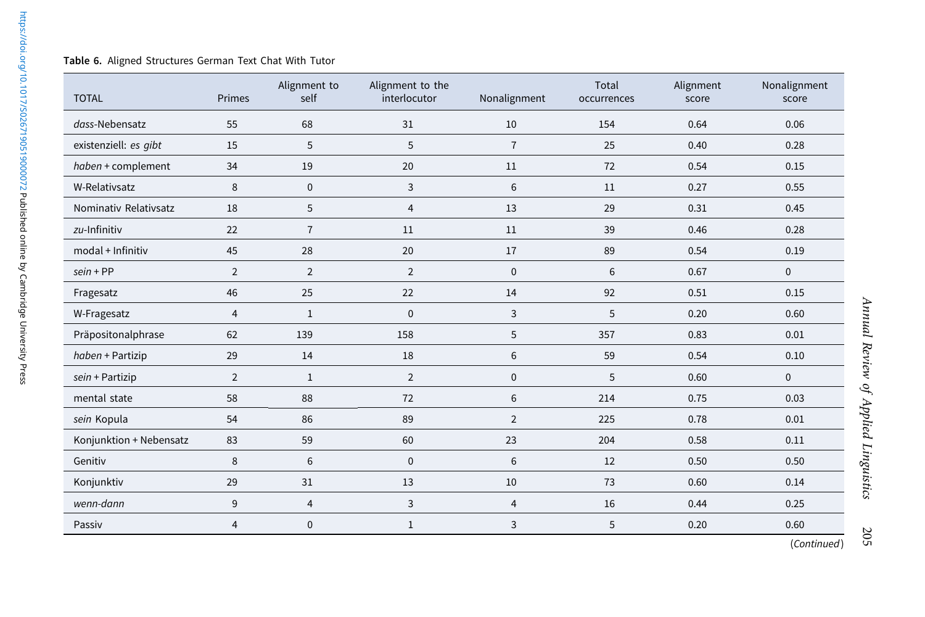## <span id="page-16-0"></span>Table 6. Aligned Structures German Text Chat With Tutor

| <b>TOTAL</b>            | Primes         | Alignment to<br>self | Alignment to the<br>interlocutor | Nonalignment   | Total<br>occurrences | Alignment<br>score | Nonalignment<br>score |
|-------------------------|----------------|----------------------|----------------------------------|----------------|----------------------|--------------------|-----------------------|
| dass-Nebensatz          | 55             | 68                   | 31                               | 10             | 154                  | 0.64               | 0.06                  |
| existenziell: es gibt   | 15             | 5                    | 5                                | $\overline{7}$ | 25                   | 0.40               | 0.28                  |
| haben + complement      | 34             | 19                   | 20                               | 11             | 72                   | 0.54               | 0.15                  |
| W-Relativsatz           | 8              | $\mathbf 0$          | 3                                | 6              | 11                   | 0.27               | 0.55                  |
| Nominativ Relativsatz   | 18             | 5                    | $\overline{4}$                   | 13             | 29                   | 0.31               | 0.45                  |
| zu-Infinitiv            | 22             | $\overline{7}$       | 11                               | 11             | 39                   | 0.46               | 0.28                  |
| modal + Infinitiv       | 45             | 28                   | 20                               | 17             | 89                   | 0.54               | 0.19                  |
| $sein + PP$             | $\overline{2}$ | $\overline{2}$       | $\overline{2}$                   | $\mathbf 0$    | $\,6$                | 0.67               | $\mathbf{0}$          |
| Fragesatz               | 46             | 25                   | 22                               | 14             | 92                   | 0.51               | 0.15                  |
| W-Fragesatz             | 4              | $\mathbf{1}$         | $\mathbf 0$                      | 3              | 5                    | 0.20               | 0.60                  |
| Präpositonalphrase      | 62             | 139                  | 158                              | 5              | 357                  | 0.83               | 0.01                  |
| haben + Partizip        | 29             | 14                   | 18                               | 6              | 59                   | 0.54               | 0.10                  |
| sein + Partizip         | $\overline{2}$ | $\mathbf{1}$         | $\overline{2}$                   | $\mathbf 0$    | 5                    | 0.60               | 0                     |
| mental state            | 58             | 88                   | 72                               | 6              | 214                  | 0.75               | 0.03                  |
| sein Kopula             | 54             | 86                   | 89                               | $\overline{2}$ | 225                  | 0.78               | 0.01                  |
| Konjunktion + Nebensatz | 83             | 59                   | 60                               | 23             | 204                  | 0.58               | 0.11                  |
| Genitiv                 | 8              | 6                    | $\mathbf 0$                      | 6              | 12                   | 0.50               | 0.50                  |
| Konjunktiv              | 29             | 31                   | 13                               | 10             | 73                   | 0.60               | 0.14                  |
| wenn-dann               | 9              | $\overline{4}$       | 3                                | $\overline{4}$ | 16                   | 0.44               | 0.25                  |
| Passiv                  | 4              | $\mathbf 0$          | $\mathbf{1}$                     | 3              | 5                    | 0.20               | 0.60                  |
|                         |                |                      |                                  |                |                      |                    | (Continued)           |

205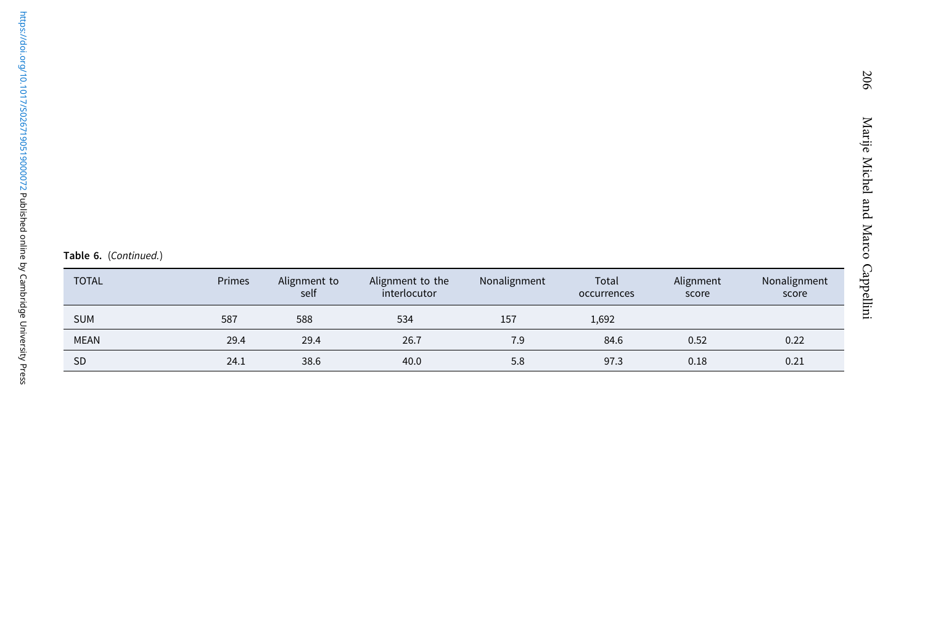| <b>TOTAL</b> | Primes | Alignment to<br>self | Alignment to the<br>interlocutor | Nonalignment | Total<br>occurrences | Alignment<br>score | Nonalignment<br>score |
|--------------|--------|----------------------|----------------------------------|--------------|----------------------|--------------------|-----------------------|
| <b>SUM</b>   | 587    | 588                  | 534                              | 157          | 1,692                |                    |                       |
| <b>MEAN</b>  | 29.4   | 29.4                 | 26.7                             | 7.9          | 84.6                 | 0.52               | 0.22                  |
| <b>SD</b>    | 24.1   | 38.6                 | 40.0                             | 5.8          | 97.3                 | 0.18               | 0.21                  |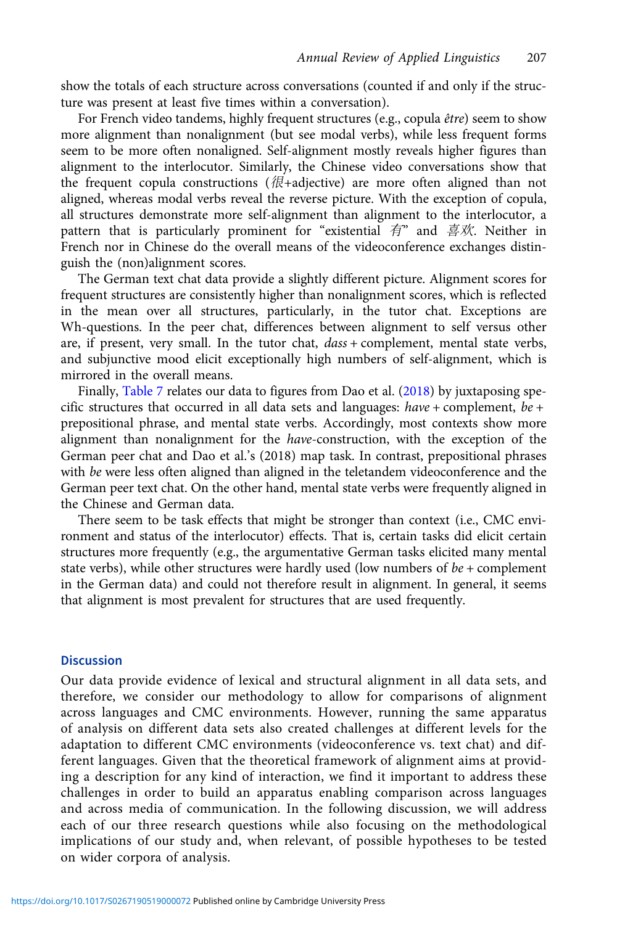show the totals of each structure across conversations (counted if and only if the structure was present at least five times within a conversation).

For French video tandems, highly frequent structures (e.g., copula être) seem to show more alignment than nonalignment (but see modal verbs), while less frequent forms seem to be more often nonaligned. Self-alignment mostly reveals higher figures than alignment to the interlocutor. Similarly, the Chinese video conversations show that the frequent copula constructions (很+adjective) are more often aligned than not aligned, whereas modal verbs reveal the reverse picture. With the exception of copula, all structures demonstrate more self-alignment than alignment to the interlocutor, a pattern that is particularly prominent for "existential 有" and 喜欢. Neither in French nor in Chinese do the overall means of the videoconference exchanges distinguish the (non)alignment scores.

The German text chat data provide a slightly different picture. Alignment scores for frequent structures are consistently higher than nonalignment scores, which is reflected in the mean over all structures, particularly, in the tutor chat. Exceptions are Wh-questions. In the peer chat, differences between alignment to self versus other are, if present, very small. In the tutor chat, dass + complement, mental state verbs, and subjunctive mood elicit exceptionally high numbers of self-alignment, which is mirrored in the overall means.

Finally, [Table 7](#page-19-0) relates our data to figures from Dao et al. [\(2018\)](#page-24-0) by juxtaposing specific structures that occurred in all data sets and languages:  $have + complement$ ,  $be +$ prepositional phrase, and mental state verbs. Accordingly, most contexts show more alignment than nonalignment for the *have-construction*, with the exception of the German peer chat and Dao et al.'s (2018) map task. In contrast, prepositional phrases with be were less often aligned than aligned in the teletandem videoconference and the German peer text chat. On the other hand, mental state verbs were frequently aligned in the Chinese and German data.

There seem to be task effects that might be stronger than context (i.e., CMC environment and status of the interlocutor) effects. That is, certain tasks did elicit certain structures more frequently (e.g., the argumentative German tasks elicited many mental state verbs), while other structures were hardly used (low numbers of  $be +$  complement in the German data) and could not therefore result in alignment. In general, it seems that alignment is most prevalent for structures that are used frequently.

# **Discussion**

Our data provide evidence of lexical and structural alignment in all data sets, and therefore, we consider our methodology to allow for comparisons of alignment across languages and CMC environments. However, running the same apparatus of analysis on different data sets also created challenges at different levels for the adaptation to different CMC environments (videoconference vs. text chat) and different languages. Given that the theoretical framework of alignment aims at providing a description for any kind of interaction, we find it important to address these challenges in order to build an apparatus enabling comparison across languages and across media of communication. In the following discussion, we will address each of our three research questions while also focusing on the methodological implications of our study and, when relevant, of possible hypotheses to be tested on wider corpora of analysis.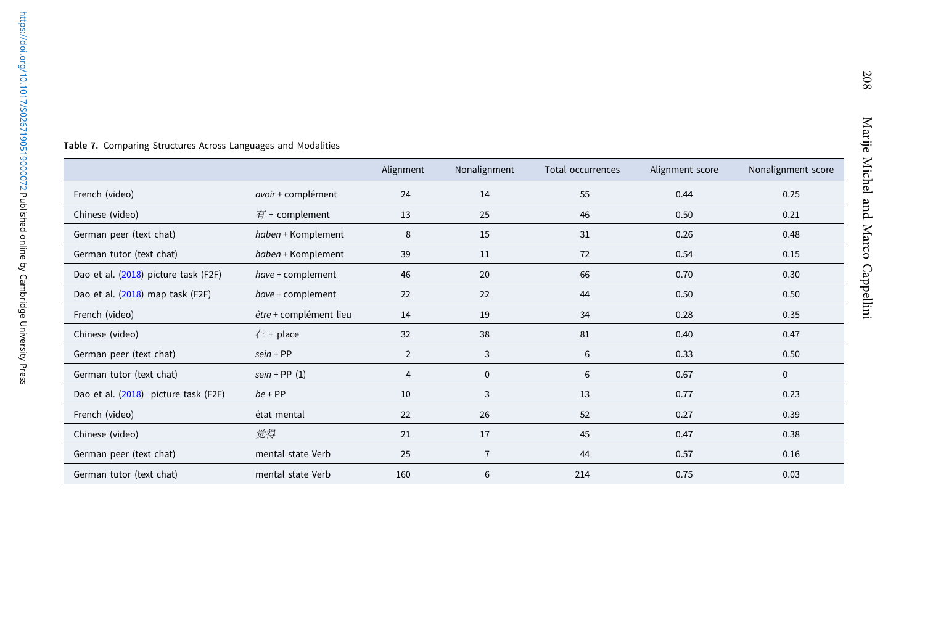|                                      |                             | Alignment      | Nonalignment   | Total occurrences | Alignment score | Nonalignment score |
|--------------------------------------|-----------------------------|----------------|----------------|-------------------|-----------------|--------------------|
| French (video)                       | avoir + complément          | 24             | 14             | 55                | 0.44            | 0.25               |
| Chinese (video)                      | $\overline{f}$ + complement | 13             | 25             | 46                | 0.50            | 0.21               |
| German peer (text chat)              | haben + Komplement          | 8              | 15             | 31                | 0.26            | 0.48               |
| German tutor (text chat)             | haben + Komplement          | 39             | 11             | 72                | 0.54            | 0.15               |
| Dao et al. (2018) picture task (F2F) | have + complement           | 46             | 20             | 66                | 0.70            | 0.30               |
| Dao et al. (2018) map task (F2F)     | have + complement           | 22             | 22             | 44                | 0.50            | 0.50               |
| French (video)                       | être + complément lieu      | 14             | 19             | 34                | 0.28            | 0.35               |
| Chinese (video)                      | $# + place$                 | 32             | 38             | 81                | 0.40            | 0.47               |
| German peer (text chat)              | $sein + PP$                 | $\overline{2}$ | 3              | 6                 | 0.33            | 0.50               |
| German tutor (text chat)             | $sein + PP(1)$              | 4              | $\mathbf 0$    | 6                 | 0.67            | 0                  |
| Dao et al. (2018) picture task (F2F) | $be + PP$                   | 10             | 3              | 13                | 0.77            | 0.23               |
| French (video)                       | état mental                 | 22             | 26             | 52                | 0.27            | 0.39               |
| Chinese (video)                      | 觉得                          | 21             | 17             | 45                | 0.47            | 0.38               |
| German peer (text chat)              | mental state Verb           | 25             | $\overline{7}$ | 44                | 0.57            | 0.16               |
| German tutor (text chat)             | mental state Verb           | 160            | 6              | 214               | 0.75            | 0.03               |

#### <span id="page-19-0"></span>Table 7. Comparing Structures Across Languages and Modalities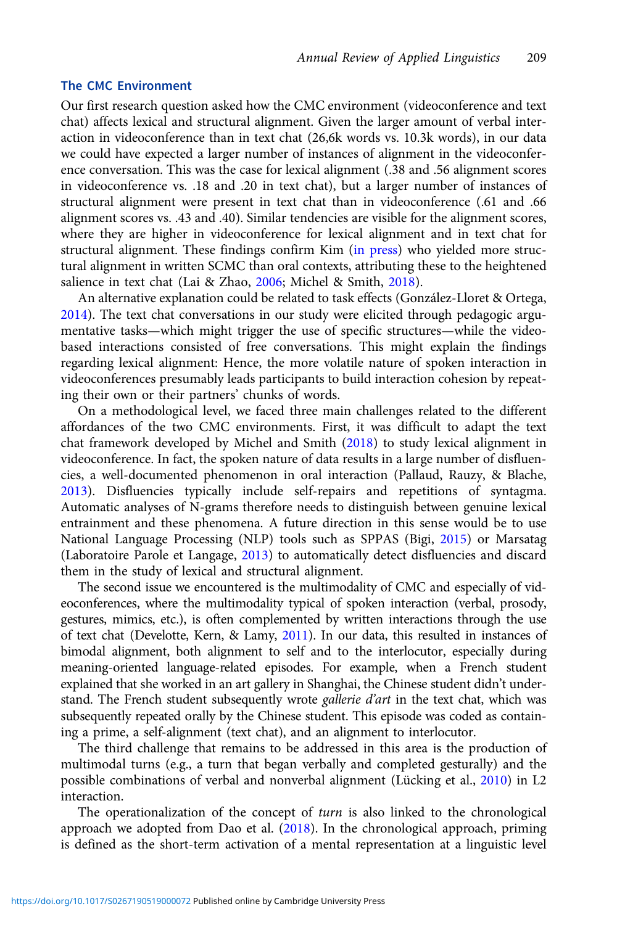# The CMC Environment

Our first research question asked how the CMC environment (videoconference and text chat) affects lexical and structural alignment. Given the larger amount of verbal interaction in videoconference than in text chat (26,6k words vs. 10.3k words), in our data we could have expected a larger number of instances of alignment in the videoconference conversation. This was the case for lexical alignment (.38 and .56 alignment scores in videoconference vs. .18 and .20 in text chat), but a larger number of instances of structural alignment were present in text chat than in videoconference (.61 and .66 alignment scores vs. .43 and .40). Similar tendencies are visible for the alignment scores, where they are higher in videoconference for lexical alignment and in text chat for structural alignment. These findings confirm Kim ([in press](#page-25-0)) who yielded more structural alignment in written SCMC than oral contexts, attributing these to the heightened salience in text chat (Lai & Zhao, [2006;](#page-25-0) Michel & Smith, [2018\)](#page-25-0).

An alternative explanation could be related to task effects (González-Lloret & Ortega, [2014](#page-24-0)). The text chat conversations in our study were elicited through pedagogic argumentative tasks—which might trigger the use of specific structures—while the videobased interactions consisted of free conversations. This might explain the findings regarding lexical alignment: Hence, the more volatile nature of spoken interaction in videoconferences presumably leads participants to build interaction cohesion by repeating their own or their partners' chunks of words.

On a methodological level, we faced three main challenges related to the different affordances of the two CMC environments. First, it was difficult to adapt the text chat framework developed by Michel and Smith ([2018](#page-25-0)) to study lexical alignment in videoconference. In fact, the spoken nature of data results in a large number of disfluencies, a well-documented phenomenon in oral interaction (Pallaud, Rauzy, & Blache, [2013](#page-26-0)). Disfluencies typically include self-repairs and repetitions of syntagma. Automatic analyses of N-grams therefore needs to distinguish between genuine lexical entrainment and these phenomena. A future direction in this sense would be to use National Language Processing (NLP) tools such as SPPAS (Bigi, [2015\)](#page-24-0) or Marsatag (Laboratoire Parole et Langage, [2013\)](#page-25-0) to automatically detect disfluencies and discard them in the study of lexical and structural alignment.

The second issue we encountered is the multimodality of CMC and especially of videoconferences, where the multimodality typical of spoken interaction (verbal, prosody, gestures, mimics, etc.), is often complemented by written interactions through the use of text chat (Develotte, Kern, & Lamy, [2011\)](#page-24-0). In our data, this resulted in instances of bimodal alignment, both alignment to self and to the interlocutor, especially during meaning-oriented language-related episodes. For example, when a French student explained that she worked in an art gallery in Shanghai, the Chinese student didn't understand. The French student subsequently wrote gallerie  $d'$ art in the text chat, which was subsequently repeated orally by the Chinese student. This episode was coded as containing a prime, a self-alignment (text chat), and an alignment to interlocutor.

The third challenge that remains to be addressed in this area is the production of multimodal turns (e.g., a turn that began verbally and completed gesturally) and the possible combinations of verbal and nonverbal alignment (Lücking et al., [2010](#page-25-0)) in L2 interaction.

The operationalization of the concept of turn is also linked to the chronological approach we adopted from Dao et al. ([2018](#page-24-0)). In the chronological approach, priming is defined as the short-term activation of a mental representation at a linguistic level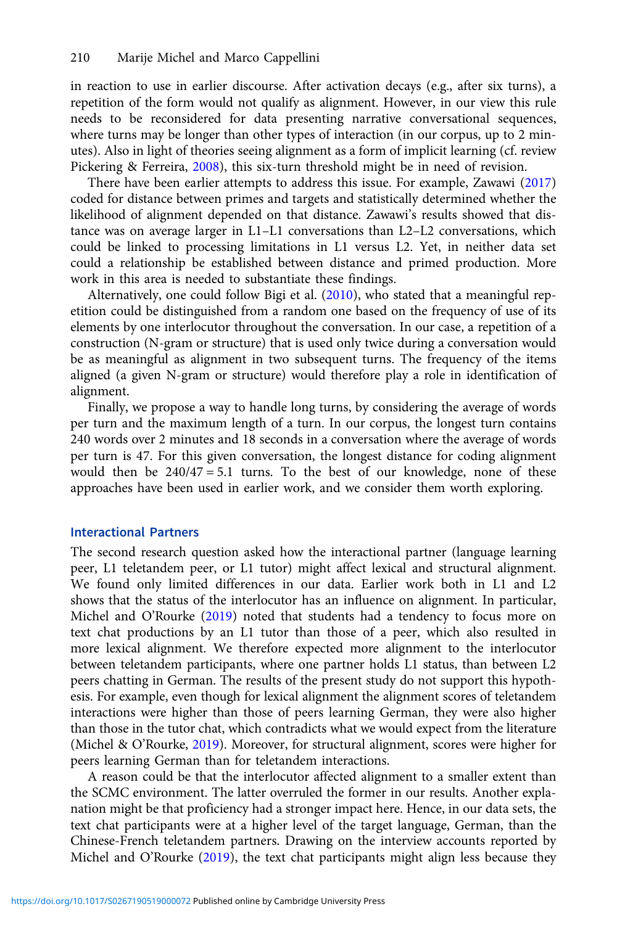in reaction to use in earlier discourse. After activation decays (e.g., after six turns), a repetition of the form would not qualify as alignment. However, in our view this rule needs to be reconsidered for data presenting narrative conversational sequences, where turns may be longer than other types of interaction (in our corpus, up to 2 minutes). Also in light of theories seeing alignment as a form of implicit learning (cf. review Pickering & Ferreira, [2008\)](#page-26-0), this six-turn threshold might be in need of revision.

There have been earlier attempts to address this issue. For example, Zawawi [\(2017](#page-26-0)) coded for distance between primes and targets and statistically determined whether the likelihood of alignment depended on that distance. Zawawi's results showed that distance was on average larger in L1–L1 conversations than L2–L2 conversations, which could be linked to processing limitations in L1 versus L2. Yet, in neither data set could a relationship be established between distance and primed production. More work in this area is needed to substantiate these findings.

Alternatively, one could follow Bigi et al. [\(2010](#page-24-0)), who stated that a meaningful repetition could be distinguished from a random one based on the frequency of use of its elements by one interlocutor throughout the conversation. In our case, a repetition of a construction (N-gram or structure) that is used only twice during a conversation would be as meaningful as alignment in two subsequent turns. The frequency of the items aligned (a given N-gram or structure) would therefore play a role in identification of alignment.

Finally, we propose a way to handle long turns, by considering the average of words per turn and the maximum length of a turn. In our corpus, the longest turn contains 240 words over 2 minutes and 18 seconds in a conversation where the average of words per turn is 47. For this given conversation, the longest distance for coding alignment would then be  $240/47 = 5.1$  turns. To the best of our knowledge, none of these approaches have been used in earlier work, and we consider them worth exploring.

# Interactional Partners

The second research question asked how the interactional partner (language learning peer, L1 teletandem peer, or L1 tutor) might affect lexical and structural alignment. We found only limited differences in our data. Earlier work both in L1 and L2 shows that the status of the interlocutor has an influence on alignment. In particular, Michel and O'Rourke ([2019\)](#page-25-0) noted that students had a tendency to focus more on text chat productions by an L1 tutor than those of a peer, which also resulted in more lexical alignment. We therefore expected more alignment to the interlocutor between teletandem participants, where one partner holds L1 status, than between L2 peers chatting in German. The results of the present study do not support this hypothesis. For example, even though for lexical alignment the alignment scores of teletandem interactions were higher than those of peers learning German, they were also higher than those in the tutor chat, which contradicts what we would expect from the literature (Michel & O'Rourke, [2019](#page-25-0)). Moreover, for structural alignment, scores were higher for peers learning German than for teletandem interactions.

A reason could be that the interlocutor affected alignment to a smaller extent than the SCMC environment. The latter overruled the former in our results. Another explanation might be that proficiency had a stronger impact here. Hence, in our data sets, the text chat participants were at a higher level of the target language, German, than the Chinese-French teletandem partners. Drawing on the interview accounts reported by Michel and O'Rourke [\(2019\)](#page-25-0), the text chat participants might align less because they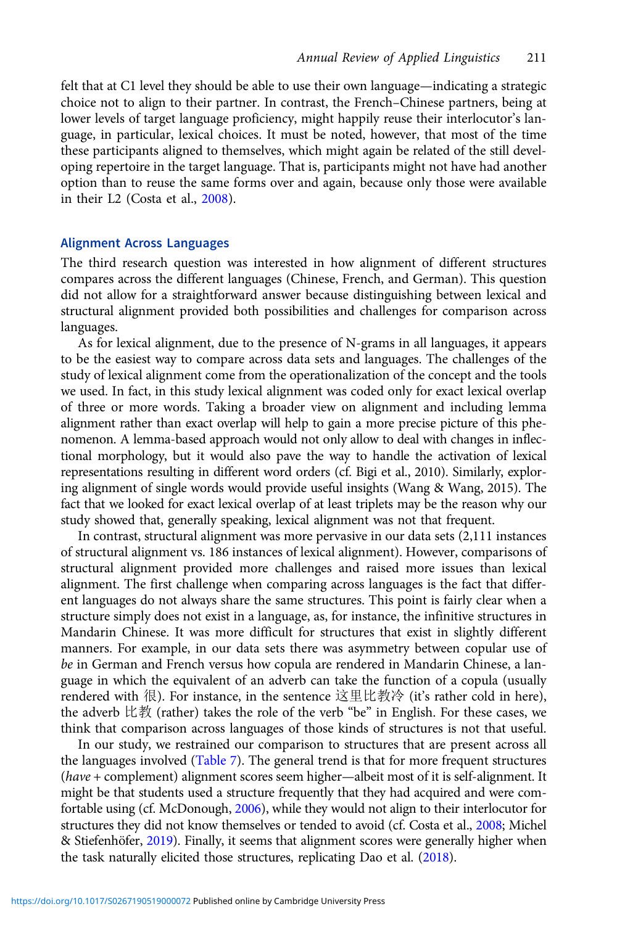felt that at C1 level they should be able to use their own language—indicating a strategic choice not to align to their partner. In contrast, the French–Chinese partners, being at lower levels of target language proficiency, might happily reuse their interlocutor's language, in particular, lexical choices. It must be noted, however, that most of the time these participants aligned to themselves, which might again be related of the still developing repertoire in the target language. That is, participants might not have had another option than to reuse the same forms over and again, because only those were available in their L2 (Costa et al., [2008\)](#page-24-0).

# Alignment Across Languages

The third research question was interested in how alignment of different structures compares across the different languages (Chinese, French, and German). This question did not allow for a straightforward answer because distinguishing between lexical and structural alignment provided both possibilities and challenges for comparison across languages.

As for lexical alignment, due to the presence of N-grams in all languages, it appears to be the easiest way to compare across data sets and languages. The challenges of the study of lexical alignment come from the operationalization of the concept and the tools we used. In fact, in this study lexical alignment was coded only for exact lexical overlap of three or more words. Taking a broader view on alignment and including lemma alignment rather than exact overlap will help to gain a more precise picture of this phenomenon. A lemma-based approach would not only allow to deal with changes in inflectional morphology, but it would also pave the way to handle the activation of lexical representations resulting in different word orders (cf. Bigi et al., 2010). Similarly, exploring alignment of single words would provide useful insights (Wang & Wang, 2015). The fact that we looked for exact lexical overlap of at least triplets may be the reason why our study showed that, generally speaking, lexical alignment was not that frequent.

In contrast, structural alignment was more pervasive in our data sets (2,111 instances of structural alignment vs. 186 instances of lexical alignment). However, comparisons of structural alignment provided more challenges and raised more issues than lexical alignment. The first challenge when comparing across languages is the fact that different languages do not always share the same structures. This point is fairly clear when a structure simply does not exist in a language, as, for instance, the infinitive structures in Mandarin Chinese. It was more difficult for structures that exist in slightly different manners. For example, in our data sets there was asymmetry between copular use of be in German and French versus how copula are rendered in Mandarin Chinese, a language in which the equivalent of an adverb can take the function of a copula (usually rendered with 很). For instance, in the sentence 这里比教冷 (it's rather cold in here), the adverb 比教 (rather) takes the role of the verb "be" in English. For these cases, we think that comparison across languages of those kinds of structures is not that useful.

In our study, we restrained our comparison to structures that are present across all the languages involved ([Table 7\)](#page-19-0). The general trend is that for more frequent structures (have + complement) alignment scores seem higher—albeit most of it is self-alignment. It might be that students used a structure frequently that they had acquired and were comfortable using (cf. McDonough, [2006\)](#page-25-0), while they would not align to their interlocutor for structures they did not know themselves or tended to avoid (cf. Costa et al., [2008](#page-24-0); Michel & Stiefenhöfer, [2019](#page-25-0)). Finally, it seems that alignment scores were generally higher when the task naturally elicited those structures, replicating Dao et al. [\(2018](#page-24-0)).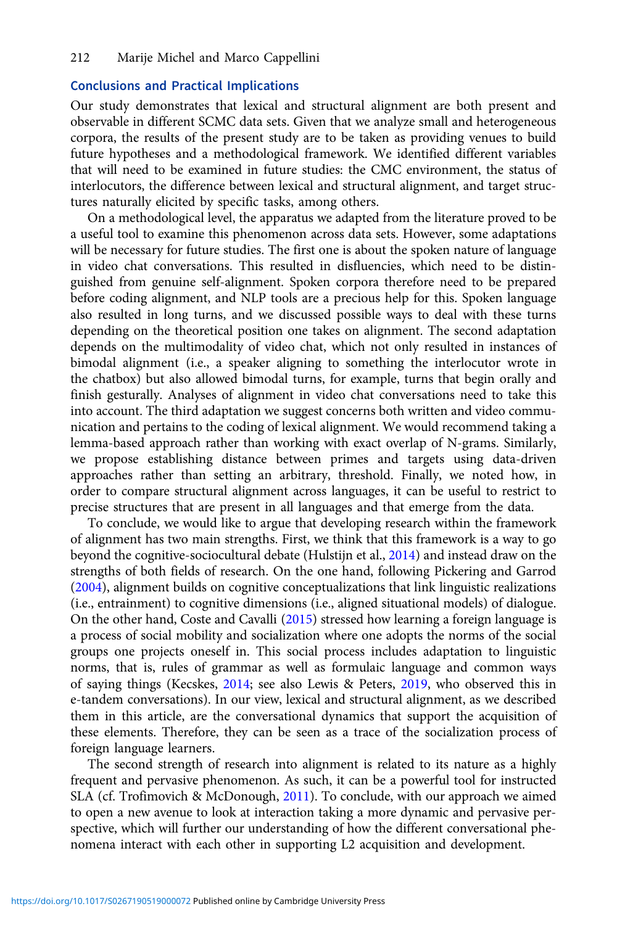# Conclusions and Practical Implications

Our study demonstrates that lexical and structural alignment are both present and observable in different SCMC data sets. Given that we analyze small and heterogeneous corpora, the results of the present study are to be taken as providing venues to build future hypotheses and a methodological framework. We identified different variables that will need to be examined in future studies: the CMC environment, the status of interlocutors, the difference between lexical and structural alignment, and target structures naturally elicited by specific tasks, among others.

On a methodological level, the apparatus we adapted from the literature proved to be a useful tool to examine this phenomenon across data sets. However, some adaptations will be necessary for future studies. The first one is about the spoken nature of language in video chat conversations. This resulted in disfluencies, which need to be distinguished from genuine self-alignment. Spoken corpora therefore need to be prepared before coding alignment, and NLP tools are a precious help for this. Spoken language also resulted in long turns, and we discussed possible ways to deal with these turns depending on the theoretical position one takes on alignment. The second adaptation depends on the multimodality of video chat, which not only resulted in instances of bimodal alignment (i.e., a speaker aligning to something the interlocutor wrote in the chatbox) but also allowed bimodal turns, for example, turns that begin orally and finish gesturally. Analyses of alignment in video chat conversations need to take this into account. The third adaptation we suggest concerns both written and video communication and pertains to the coding of lexical alignment. We would recommend taking a lemma-based approach rather than working with exact overlap of N-grams. Similarly, we propose establishing distance between primes and targets using data-driven approaches rather than setting an arbitrary, threshold. Finally, we noted how, in order to compare structural alignment across languages, it can be useful to restrict to precise structures that are present in all languages and that emerge from the data.

To conclude, we would like to argue that developing research within the framework of alignment has two main strengths. First, we think that this framework is a way to go beyond the cognitive-sociocultural debate (Hulstijn et al., [2014\)](#page-24-0) and instead draw on the strengths of both fields of research. On the one hand, following Pickering and Garrod ([2004](#page-26-0)), alignment builds on cognitive conceptualizations that link linguistic realizations (i.e., entrainment) to cognitive dimensions (i.e., aligned situational models) of dialogue. On the other hand, Coste and Cavalli [\(2015\)](#page-24-0) stressed how learning a foreign language is a process of social mobility and socialization where one adopts the norms of the social groups one projects oneself in. This social process includes adaptation to linguistic norms, that is, rules of grammar as well as formulaic language and common ways of saying things (Kecskes, [2014;](#page-24-0) see also Lewis & Peters, [2019](#page-25-0), who observed this in e-tandem conversations). In our view, lexical and structural alignment, as we described them in this article, are the conversational dynamics that support the acquisition of these elements. Therefore, they can be seen as a trace of the socialization process of foreign language learners.

The second strength of research into alignment is related to its nature as a highly frequent and pervasive phenomenon. As such, it can be a powerful tool for instructed SLA (cf. Trofimovich & McDonough, [2011\)](#page-26-0). To conclude, with our approach we aimed to open a new avenue to look at interaction taking a more dynamic and pervasive perspective, which will further our understanding of how the different conversational phenomena interact with each other in supporting L2 acquisition and development.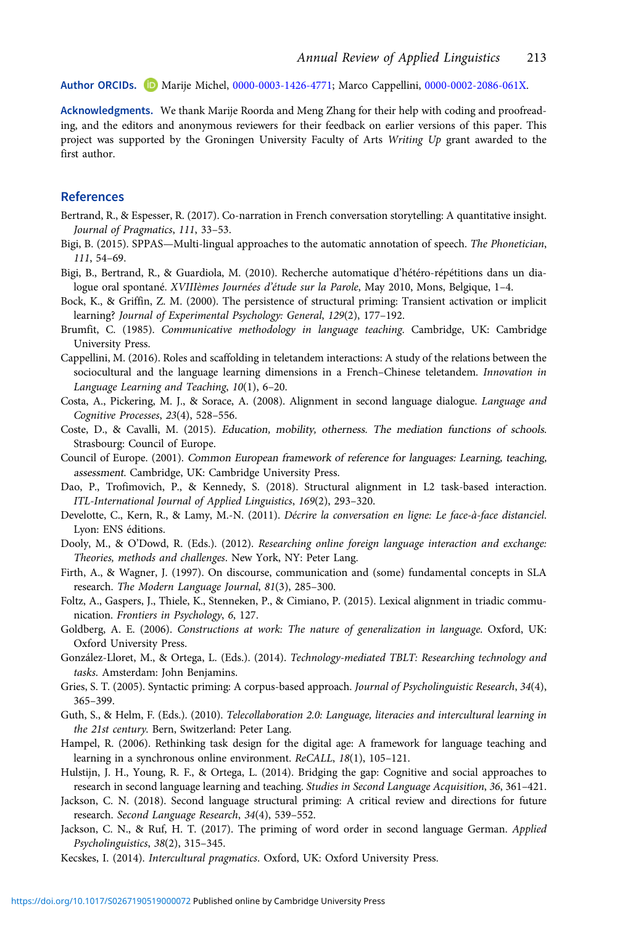<span id="page-24-0"></span>Author ORCIDs. **D** Marije Michel, [0000-0003-1426-4771;](https://orcid.org/0000-0003-1426-4771) Marco Cappellini, [0000-0002-2086-061X](https://orcid.org/0000-0002-2086-061X).

Acknowledgments. We thank Marije Roorda and Meng Zhang for their help with coding and proofreading, and the editors and anonymous reviewers for their feedback on earlier versions of this paper. This project was supported by the Groningen University Faculty of Arts Writing Up grant awarded to the first author.

# References

- Bertrand, R., & Espesser, R. (2017). Co-narration in French conversation storytelling: A quantitative insight. Journal of Pragmatics, 111, 33–53.
- Bigi, B. (2015). SPPAS—Multi-lingual approaches to the automatic annotation of speech. The Phonetician, 111, 54–69.
- Bigi, B., Bertrand, R., & Guardiola, M. (2010). Recherche automatique d'hétéro-répétitions dans un dialogue oral spontané. XVIIIèmes Journées d'étude sur la Parole, May 2010, Mons, Belgique, 1–4.
- Bock, K., & Griffin, Z. M. (2000). The persistence of structural priming: Transient activation or implicit learning? Journal of Experimental Psychology: General, 129(2), 177–192.
- Brumfit, C. (1985). Communicative methodology in language teaching. Cambridge, UK: Cambridge University Press.
- Cappellini, M. (2016). Roles and scaffolding in teletandem interactions: A study of the relations between the sociocultural and the language learning dimensions in a French–Chinese teletandem. *Innovation in* Language Learning and Teaching, 10(1), 6–20.
- Costa, A., Pickering, M. J., & Sorace, A. (2008). Alignment in second language dialogue. Language and Cognitive Processes, 23(4), 528–556.
- Coste, D., & Cavalli, M. (2015). Education, mobility, otherness. The mediation functions of schools. Strasbourg: Council of Europe.
- Council of Europe. (2001). Common European framework of reference for languages: Learning, teaching, assessment. Cambridge, UK: Cambridge University Press.
- Dao, P., Trofimovich, P., & Kennedy, S. (2018). Structural alignment in L2 task-based interaction. ITL-International Journal of Applied Linguistics, 169(2), 293–320.
- Develotte, C., Kern, R., & Lamy, M.-N. (2011). Décrire la conversation en ligne: Le face-à-face distanciel. Lyon: ENS éditions.
- Dooly, M., & O'Dowd, R. (Eds.). (2012). Researching online foreign language interaction and exchange: Theories, methods and challenges. New York, NY: Peter Lang.
- Firth, A., & Wagner, J. (1997). On discourse, communication and (some) fundamental concepts in SLA research. The Modern Language Journal, 81(3), 285–300.
- Foltz, A., Gaspers, J., Thiele, K., Stenneken, P., & Cimiano, P. (2015). Lexical alignment in triadic communication. Frontiers in Psychology, 6, 127.
- Goldberg, A. E. (2006). Constructions at work: The nature of generalization in language. Oxford, UK: Oxford University Press.
- González-Lloret, M., & Ortega, L. (Eds.). (2014). Technology-mediated TBLT: Researching technology and tasks. Amsterdam: John Benjamins.
- Gries, S. T. (2005). Syntactic priming: A corpus-based approach. Journal of Psycholinguistic Research, 34(4), 365–399.
- Guth, S., & Helm, F. (Eds.). (2010). Telecollaboration 2.0: Language, literacies and intercultural learning in the 21st century. Bern, Switzerland: Peter Lang.
- Hampel, R. (2006). Rethinking task design for the digital age: A framework for language teaching and learning in a synchronous online environment. ReCALL, 18(1), 105–121.
- Hulstijn, J. H., Young, R. F., & Ortega, L. (2014). Bridging the gap: Cognitive and social approaches to research in second language learning and teaching. Studies in Second Language Acquisition, 36, 361–421.
- Jackson, C. N. (2018). Second language structural priming: A critical review and directions for future research. Second Language Research, 34(4), 539–552.
- Jackson, C. N., & Ruf, H. T. (2017). The priming of word order in second language German. Applied Psycholinguistics, 38(2), 315–345.
- Kecskes, I. (2014). Intercultural pragmatics. Oxford, UK: Oxford University Press.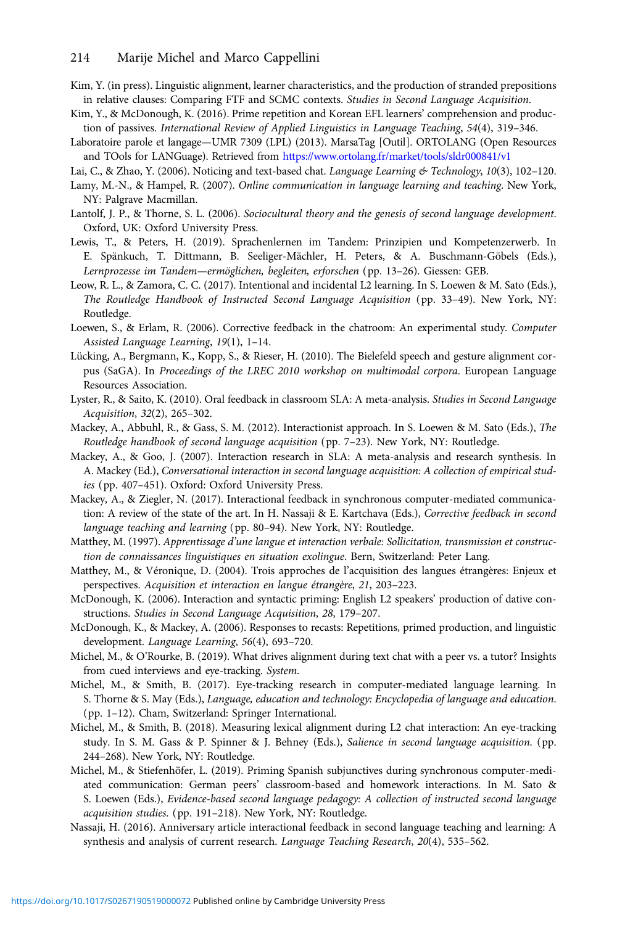- <span id="page-25-0"></span>Kim, Y. (in press). Linguistic alignment, learner characteristics, and the production of stranded prepositions in relative clauses: Comparing FTF and SCMC contexts. Studies in Second Language Acquisition.
- Kim, Y., & McDonough, K. (2016). Prime repetition and Korean EFL learners' comprehension and production of passives. International Review of Applied Linguistics in Language Teaching, 54(4), 319–346.
- Laboratoire parole et langage—UMR 7309 (LPL) (2013). MarsaTag [Outil]. ORTOLANG (Open Resources and TOols for LANGuage). Retrieved from <https://www.ortolang.fr/market/tools/sldr000841/v1>
- Lai, C., & Zhao, Y. (2006). Noticing and text-based chat. Language Learning & Technology, 10(3), 102-120.
- Lamy, M.-N., & Hampel, R. (2007). Online communication in language learning and teaching. New York, NY: Palgrave Macmillan.
- Lantolf, J. P., & Thorne, S. L. (2006). Sociocultural theory and the genesis of second language development. Oxford, UK: Oxford University Press.
- Lewis, T., & Peters, H. (2019). Sprachenlernen im Tandem: Prinzipien und Kompetenzerwerb. In E. Spänkuch, T. Dittmann, B. Seeliger-Mächler, H. Peters, & A. Buschmann-Göbels (Eds.), Lernprozesse im Tandem—ermöglichen, begleiten, erforschen (pp. 13–26). Giessen: GEB.
- Leow, R. L., & Zamora, C. C. (2017). Intentional and incidental L2 learning. In S. Loewen & M. Sato (Eds.), The Routledge Handbook of Instructed Second Language Acquisition (pp. 33–49). New York, NY: Routledge.
- Loewen, S., & Erlam, R. (2006). Corrective feedback in the chatroom: An experimental study. Computer Assisted Language Learning, 19(1), 1–14.
- Lücking, A., Bergmann, K., Kopp, S., & Rieser, H. (2010). The Bielefeld speech and gesture alignment corpus (SaGA). In Proceedings of the LREC 2010 workshop on multimodal corpora. European Language Resources Association.
- Lyster, R., & Saito, K. (2010). Oral feedback in classroom SLA: A meta-analysis. Studies in Second Language Acquisition, 32(2), 265–302.
- Mackey, A., Abbuhl, R., & Gass, S. M. (2012). Interactionist approach. In S. Loewen & M. Sato (Eds.), The Routledge handbook of second language acquisition (pp. 7–23). New York, NY: Routledge.
- Mackey, A., & Goo, J. (2007). Interaction research in SLA: A meta-analysis and research synthesis. In A. Mackey (Ed.), Conversational interaction in second language acquisition: A collection of empirical studies (pp. 407–451). Oxford: Oxford University Press.
- Mackey, A., & Ziegler, N. (2017). Interactional feedback in synchronous computer-mediated communication: A review of the state of the art. In H. Nassaji & E. Kartchava (Eds.), Corrective feedback in second language teaching and learning (pp. 80–94). New York, NY: Routledge.
- Matthey, M. (1997). Apprentissage d'une langue et interaction verbale: Sollicitation, transmission et construction de connaissances linguistiques en situation exolingue. Bern, Switzerland: Peter Lang.
- Matthey, M., & Véronique, D. (2004). Trois approches de l'acquisition des langues étrangères: Enjeux et perspectives. Acquisition et interaction en langue étrangère, 21, 203–223.
- McDonough, K. (2006). Interaction and syntactic priming: English L2 speakers' production of dative constructions. Studies in Second Language Acquisition, 28, 179–207.
- McDonough, K., & Mackey, A. (2006). Responses to recasts: Repetitions, primed production, and linguistic development. Language Learning, 56(4), 693–720.
- Michel, M., & O'Rourke, B. (2019). What drives alignment during text chat with a peer vs. a tutor? Insights from cued interviews and eye-tracking. System.
- Michel, M., & Smith, B. (2017). Eye-tracking research in computer-mediated language learning. In S. Thorne & S. May (Eds.), Language, education and technology: Encyclopedia of language and education. (pp. 1–12). Cham, Switzerland: Springer International.
- Michel, M., & Smith, B. (2018). Measuring lexical alignment during L2 chat interaction: An eye-tracking study. In S. M. Gass & P. Spinner & J. Behney (Eds.), Salience in second language acquisition. (pp. 244–268). New York, NY: Routledge.
- Michel, M., & Stiefenhöfer, L. (2019). Priming Spanish subjunctives during synchronous computer-mediated communication: German peers' classroom-based and homework interactions. In M. Sato & S. Loewen (Eds.), Evidence-based second language pedagogy: A collection of instructed second language acquisition studies. (pp. 191–218). New York, NY: Routledge.
- Nassaji, H. (2016). Anniversary article interactional feedback in second language teaching and learning: A synthesis and analysis of current research. Language Teaching Research, 20(4), 535–562.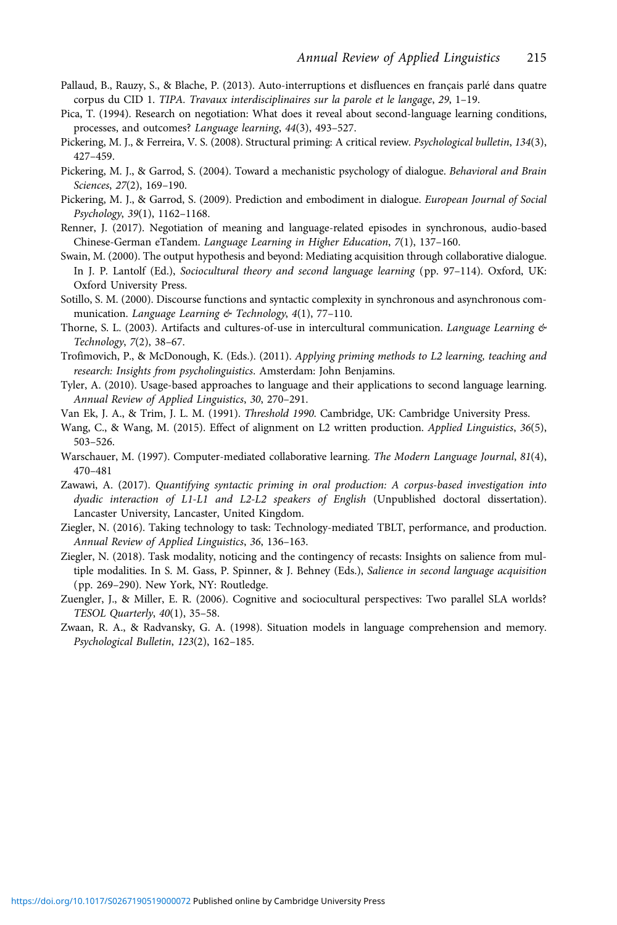- <span id="page-26-0"></span>Pallaud, B., Rauzy, S., & Blache, P. (2013). Auto-interruptions et disfluences en français parlé dans quatre corpus du CID 1. TIPA. Travaux interdisciplinaires sur la parole et le langage, 29, 1–19.
- Pica, T. (1994). Research on negotiation: What does it reveal about second-language learning conditions, processes, and outcomes? Language learning, 44(3), 493–527.
- Pickering, M. J., & Ferreira, V. S. (2008). Structural priming: A critical review. Psychological bulletin, 134(3), 427–459.
- Pickering, M. J., & Garrod, S. (2004). Toward a mechanistic psychology of dialogue. Behavioral and Brain Sciences, 27(2), 169–190.
- Pickering, M. J., & Garrod, S. (2009). Prediction and embodiment in dialogue. European Journal of Social Psychology, 39(1), 1162–1168.
- Renner, J. (2017). Negotiation of meaning and language-related episodes in synchronous, audio-based Chinese-German eTandem. Language Learning in Higher Education, 7(1), 137–160.
- Swain, M. (2000). The output hypothesis and beyond: Mediating acquisition through collaborative dialogue. In J. P. Lantolf (Ed.), Sociocultural theory and second language learning (pp. 97–114). Oxford, UK: Oxford University Press.
- Sotillo, S. M. (2000). Discourse functions and syntactic complexity in synchronous and asynchronous communication. Language Learning & Technology, 4(1), 77-110.
- Thorne, S. L. (2003). Artifacts and cultures-of-use in intercultural communication. Language Learning  $\phi$ Technology, 7(2), 38–67.
- Trofimovich, P., & McDonough, K. (Eds.). (2011). Applying priming methods to L2 learning, teaching and research: Insights from psycholinguistics. Amsterdam: John Benjamins.
- Tyler, A. (2010). Usage-based approaches to language and their applications to second language learning. Annual Review of Applied Linguistics, 30, 270–291.
- Van Ek, J. A., & Trim, J. L. M. (1991). Threshold 1990. Cambridge, UK: Cambridge University Press.
- Wang, C., & Wang, M. (2015). Effect of alignment on L2 written production. Applied Linguistics, 36(5), 503–526.
- Warschauer, M. (1997). Computer-mediated collaborative learning. The Modern Language Journal, 81(4), 470–481
- Zawawi, A. (2017). Quantifying syntactic priming in oral production: A corpus-based investigation into dyadic interaction of L1-L1 and L2-L2 speakers of English (Unpublished doctoral dissertation). Lancaster University, Lancaster, United Kingdom.
- Ziegler, N. (2016). Taking technology to task: Technology-mediated TBLT, performance, and production. Annual Review of Applied Linguistics, 36, 136–163.
- Ziegler, N. (2018). Task modality, noticing and the contingency of recasts: Insights on salience from multiple modalities. In S. M. Gass, P. Spinner, & J. Behney (Eds.), Salience in second language acquisition (pp. 269–290). New York, NY: Routledge.
- Zuengler, J., & Miller, E. R. (2006). Cognitive and sociocultural perspectives: Two parallel SLA worlds? TESOL Quarterly, 40(1), 35–58.
- Zwaan, R. A., & Radvansky, G. A. (1998). Situation models in language comprehension and memory. Psychological Bulletin, 123(2), 162–185.